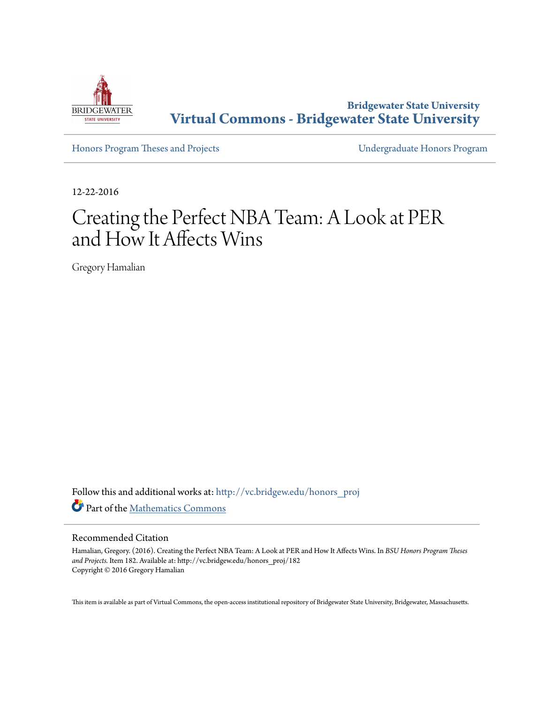

**Bridgewater State University [Virtual Commons - Bridgewater State University](http://vc.bridgew.edu?utm_source=vc.bridgew.edu%2Fhonors_proj%2F182&utm_medium=PDF&utm_campaign=PDFCoverPages)**

[Honors Program Theses and Projects](http://vc.bridgew.edu/honors_proj?utm_source=vc.bridgew.edu%2Fhonors_proj%2F182&utm_medium=PDF&utm_campaign=PDFCoverPages) [Undergraduate Honors Program](http://vc.bridgew.edu/honors?utm_source=vc.bridgew.edu%2Fhonors_proj%2F182&utm_medium=PDF&utm_campaign=PDFCoverPages)

12-22-2016

# Creating the Perfect NBA Team: A Look at PER and How It Affects Wins

Gregory Hamalian

Follow this and additional works at: [http://vc.bridgew.edu/honors\\_proj](http://vc.bridgew.edu/honors_proj?utm_source=vc.bridgew.edu%2Fhonors_proj%2F182&utm_medium=PDF&utm_campaign=PDFCoverPages) Part of the [Mathematics Commons](http://network.bepress.com/hgg/discipline/174?utm_source=vc.bridgew.edu%2Fhonors_proj%2F182&utm_medium=PDF&utm_campaign=PDFCoverPages)

#### Recommended Citation

Hamalian, Gregory. (2016). Creating the Perfect NBA Team: A Look at PER and How It Affects Wins. In *BSU Honors Program Theses and Projects.* Item 182. Available at: http://vc.bridgew.edu/honors\_proj/182 Copyright © 2016 Gregory Hamalian

This item is available as part of Virtual Commons, the open-access institutional repository of Bridgewater State University, Bridgewater, Massachusetts.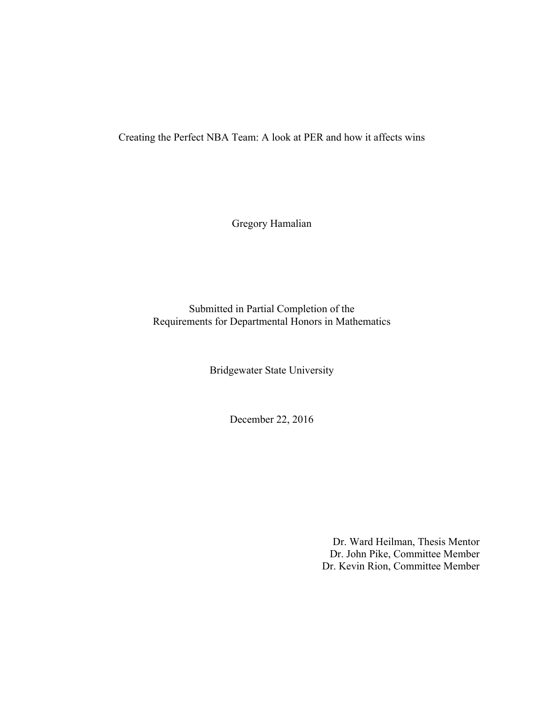Creating the Perfect NBA Team: A look at PER and how it affects wins

Gregory Hamalian

Submitted in Partial Completion of the Requirements for Departmental Honors in Mathematics

Bridgewater State University

December 22, 2016

Dr. Ward Heilman, Thesis Mentor Dr. John Pike, Committee Member Dr. Kevin Rion, Committee Member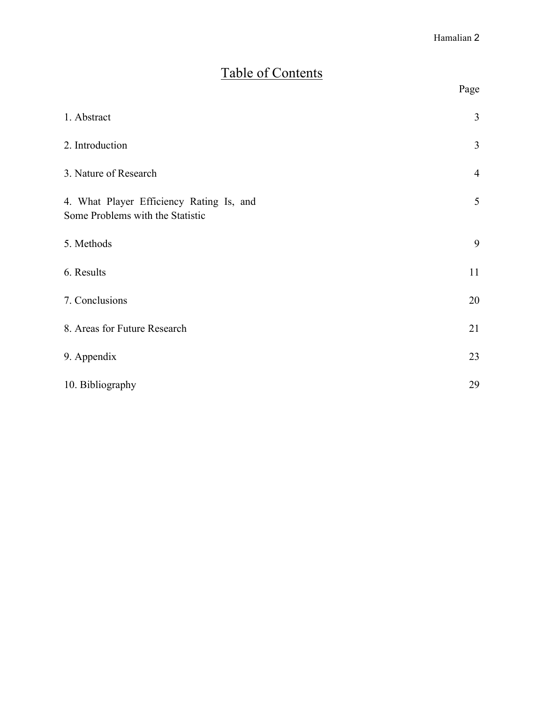## Table of Contents

|                                                                              | Page           |
|------------------------------------------------------------------------------|----------------|
| 1. Abstract                                                                  | $\overline{3}$ |
| 2. Introduction                                                              | $\overline{3}$ |
| 3. Nature of Research                                                        | $\overline{4}$ |
| 4. What Player Efficiency Rating Is, and<br>Some Problems with the Statistic | 5              |
| 5. Methods                                                                   | 9              |
| 6. Results                                                                   | 11             |
| 7. Conclusions                                                               | 20             |
| 8. Areas for Future Research                                                 | 21             |
| 9. Appendix                                                                  | 23             |
| 10. Bibliography                                                             | 29             |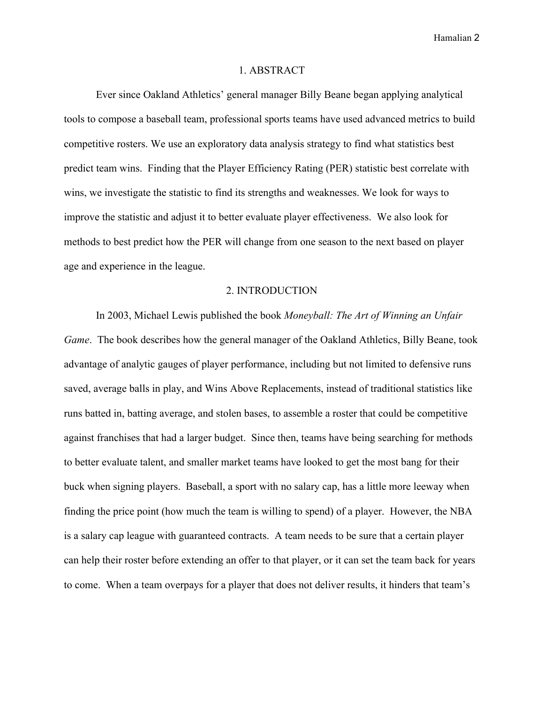#### 1. ABSTRACT

Ever since Oakland Athletics' general manager Billy Beane began applying analytical tools to compose a baseball team, professional sports teams have used advanced metrics to build competitive rosters. We use an exploratory data analysis strategy to find what statistics best predict team wins. Finding that the Player Efficiency Rating (PER) statistic best correlate with wins, we investigate the statistic to find its strengths and weaknesses. We look for ways to improve the statistic and adjust it to better evaluate player effectiveness. We also look for methods to best predict how the PER will change from one season to the next based on player age and experience in the league.

### 2. INTRODUCTION

In 2003, Michael Lewis published the book *Moneyball: The Art of Winning an Unfair Game*. The book describes how the general manager of the Oakland Athletics, Billy Beane, took advantage of analytic gauges of player performance, including but not limited to defensive runs saved, average balls in play, and Wins Above Replacements, instead of traditional statistics like runs batted in, batting average, and stolen bases, to assemble a roster that could be competitive against franchises that had a larger budget. Since then, teams have being searching for methods to better evaluate talent, and smaller market teams have looked to get the most bang for their buck when signing players. Baseball, a sport with no salary cap, has a little more leeway when finding the price point (how much the team is willing to spend) of a player. However, the NBA is a salary cap league with guaranteed contracts. A team needs to be sure that a certain player can help their roster before extending an offer to that player, or it can set the team back for years to come. When a team overpays for a player that does not deliver results, it hinders that team's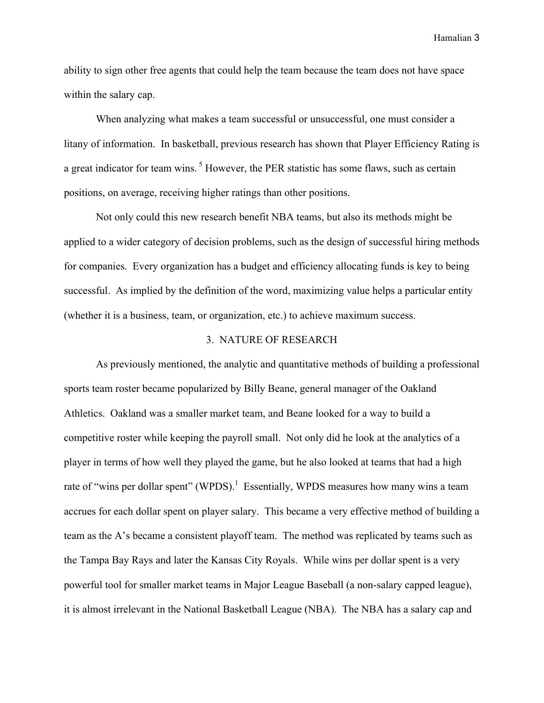ability to sign other free agents that could help the team because the team does not have space within the salary cap.

When analyzing what makes a team successful or unsuccessful, one must consider a litany of information. In basketball, previous research has shown that Player Efficiency Rating is a great indicator for team wins.<sup>5</sup> However, the PER statistic has some flaws, such as certain positions, on average, receiving higher ratings than other positions.

Not only could this new research benefit NBA teams, but also its methods might be applied to a wider category of decision problems, such as the design of successful hiring methods for companies. Every organization has a budget and efficiency allocating funds is key to being successful. As implied by the definition of the word, maximizing value helps a particular entity (whether it is a business, team, or organization, etc.) to achieve maximum success.

### 3. NATURE OF RESEARCH

As previously mentioned, the analytic and quantitative methods of building a professional sports team roster became popularized by Billy Beane, general manager of the Oakland Athletics. Oakland was a smaller market team, and Beane looked for a way to build a competitive roster while keeping the payroll small. Not only did he look at the analytics of a player in terms of how well they played the game, but he also looked at teams that had a high rate of "wins per dollar spent" (WPDS).<sup>1</sup> Essentially, WPDS measures how many wins a team accrues for each dollar spent on player salary. This became a very effective method of building a team as the A's became a consistent playoff team. The method was replicated by teams such as the Tampa Bay Rays and later the Kansas City Royals. While wins per dollar spent is a very powerful tool for smaller market teams in Major League Baseball (a non-salary capped league), it is almost irrelevant in the National Basketball League (NBA). The NBA has a salary cap and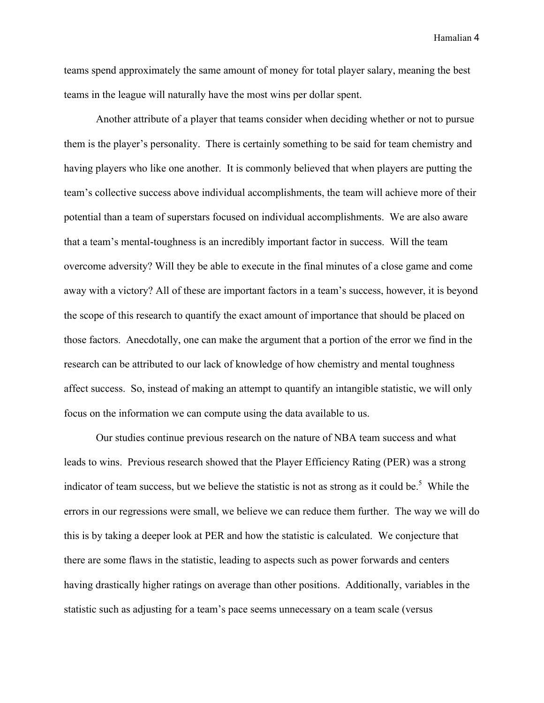teams spend approximately the same amount of money for total player salary, meaning the best teams in the league will naturally have the most wins per dollar spent.

Another attribute of a player that teams consider when deciding whether or not to pursue them is the player's personality. There is certainly something to be said for team chemistry and having players who like one another. It is commonly believed that when players are putting the team's collective success above individual accomplishments, the team will achieve more of their potential than a team of superstars focused on individual accomplishments. We are also aware that a team's mental-toughness is an incredibly important factor in success. Will the team overcome adversity? Will they be able to execute in the final minutes of a close game and come away with a victory? All of these are important factors in a team's success, however, it is beyond the scope of this research to quantify the exact amount of importance that should be placed on those factors. Anecdotally, one can make the argument that a portion of the error we find in the research can be attributed to our lack of knowledge of how chemistry and mental toughness affect success. So, instead of making an attempt to quantify an intangible statistic, we will only focus on the information we can compute using the data available to us.

Our studies continue previous research on the nature of NBA team success and what leads to wins. Previous research showed that the Player Efficiency Rating (PER) was a strong indicator of team success, but we believe the statistic is not as strong as it could be.<sup>5</sup> While the errors in our regressions were small, we believe we can reduce them further. The way we will do this is by taking a deeper look at PER and how the statistic is calculated. We conjecture that there are some flaws in the statistic, leading to aspects such as power forwards and centers having drastically higher ratings on average than other positions. Additionally, variables in the statistic such as adjusting for a team's pace seems unnecessary on a team scale (versus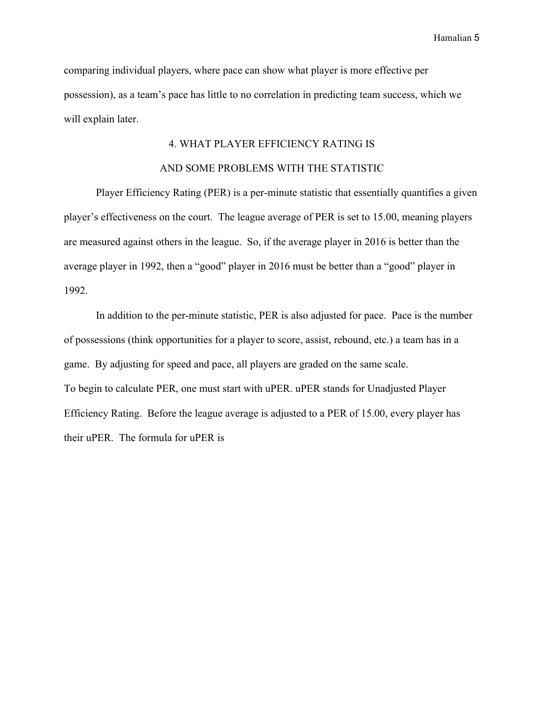comparing individual players, where pace can show what player is more effective per possession), as a team's pace has little to no correlation in predicting team success, which we will explain later.

### 4. WHAT PLAYER EFFICIENCY RATING IS

### AND SOME PROBLEMS WITH THE STATISTIC

Player Efficiency Rating (PER) is a per-minute statistic that essentially quantifies a given player's effectiveness on the court. The league average of PER is set to 15.00, meaning players are measured against others in the league. So, if the average player in 2016 is better than the average player in 1992, then a "good" player in 2016 must be better than a "good" player in 1992.

In addition to the per-minute statistic, PER is also adjusted for pace. Pace is the number of possessions (think opportunities for a player to score, assist, rebound, etc.) a team has in a game. By adjusting for speed and pace, all players are graded on the same scale. To begin to calculate PER, one must start with uPER. uPER stands for Unadjusted Player Efficiency Rating. Before the league average is adjusted to a PER of 15.00, every player has their uPER. The formula for uPER is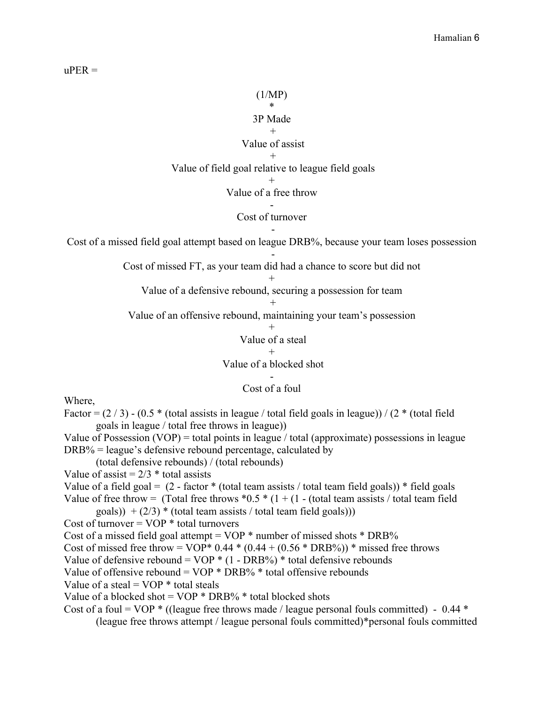$uPER =$ 

### (1/MP)

### \* 3P Made

### +

Value of assist +

Value of field goal relative to league field goals

```
+
```
Value of a free throw

### - Cost of turnover

- Cost of a missed field goal attempt based on league DRB%, because your team loses possession

> - Cost of missed FT, as your team did had a chance to score but did not

+ Value of a defensive rebound, securing a possession for team

+

Value of an offensive rebound, maintaining your team's possession

+ Value of a steal

+

Value of a blocked shot

- Cost of a foul

Where,

Factor =  $(2/3)$  -  $(0.5 *$  (total assists in league / total field goals in league)) /  $(2 *$  (total field goals in league / total free throws in league))

Value of Possession  $(VOP)$  = total points in league / total (approximate) possessions in league DRB% = league's defensive rebound percentage, calculated by

(total defensive rebounds) / (total rebounds)

Value of assist  $= 2/3$  \* total assists

- Value of a field goal =  $(2 \text{factor}^*)$  (total team assists / total team field goals))  $*$  field goals
- Value of free throw = (Total free throws  $*0.5 * (1 + (1 (total team assigns / total team field))$ goals))  $+(2/3)*(total team assigns/total team field goals))$

Cost of turnover  $=$  VOP  $*$  total turnovers

Cost of a missed field goal attempt =  $VOP *$  number of missed shots  $*$  DRB%

Cost of missed free throw =  $VOP* 0.44 * (0.44 + (0.56 * DRB%))*$  missed free throws

Value of defensive rebound =  $VOP * (1 - DRB<sup>o</sup>) *$  total defensive rebounds

Value of offensive rebound =  $VOP * DRB\% *$  total offensive rebounds

Value of a steal =  $VOP *$  total steals

Value of a blocked shot =  $VOP * DRB\% *$  total blocked shots

Cost of a foul =  $VOP$  \* ((league free throws made / league personal fouls committed) - 0.44 \*

(league free throws attempt / league personal fouls committed)\*personal fouls committed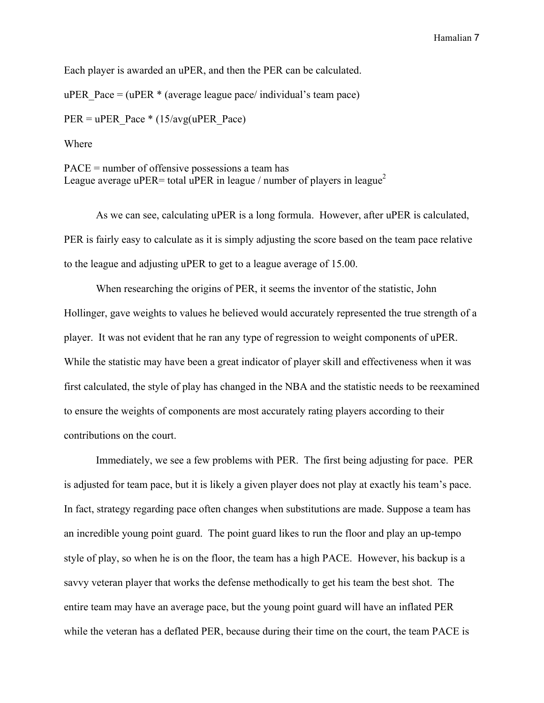Each player is awarded an uPER, and then the PER can be calculated. uPER Pace  $=$  (uPER  $*$  (average league pace/ individual's team pace)  $PER = uPER$  Pace \* (15/avg(uPER Pace) Where

PACE = number of offensive possessions a team has League average uPER= total uPER in league / number of players in league<sup>2</sup>

As we can see, calculating uPER is a long formula. However, after uPER is calculated, PER is fairly easy to calculate as it is simply adjusting the score based on the team pace relative to the league and adjusting uPER to get to a league average of 15.00.

When researching the origins of PER, it seems the inventor of the statistic, John Hollinger, gave weights to values he believed would accurately represented the true strength of a player. It was not evident that he ran any type of regression to weight components of uPER. While the statistic may have been a great indicator of player skill and effectiveness when it was first calculated, the style of play has changed in the NBA and the statistic needs to be reexamined to ensure the weights of components are most accurately rating players according to their contributions on the court.

Immediately, we see a few problems with PER. The first being adjusting for pace. PER is adjusted for team pace, but it is likely a given player does not play at exactly his team's pace. In fact, strategy regarding pace often changes when substitutions are made. Suppose a team has an incredible young point guard. The point guard likes to run the floor and play an up-tempo style of play, so when he is on the floor, the team has a high PACE. However, his backup is a savvy veteran player that works the defense methodically to get his team the best shot. The entire team may have an average pace, but the young point guard will have an inflated PER while the veteran has a deflated PER, because during their time on the court, the team PACE is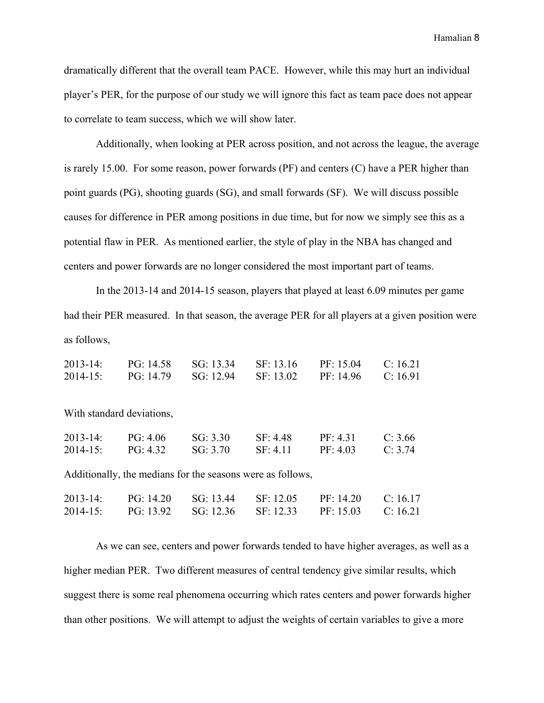dramatically different that the overall team PACE. However, while this may hurt an individual player's PER, for the purpose of our study we will ignore this fact as team pace does not appear to correlate to team success, which we will show later.

Additionally, when looking at PER across position, and not across the league, the average is rarely 15.00. For some reason, power forwards (PF) and centers (C) have a PER higher than point guards (PG), shooting guards (SG), and small forwards (SF). We will discuss possible causes for difference in PER among positions in due time, but for now we simply see this as a potential flaw in PER. As mentioned earlier, the style of play in the NBA has changed and centers and power forwards are no longer considered the most important part of teams.

In the 2013-14 and 2014-15 season, players that played at least 6.09 minutes per game had their PER measured. In that season, the average PER for all players at a given position were as follows,

| $2013 - 14$ : | PG: 14.58 | SG 13.34 | SF 1316 | PF: 15.04 | C: 16.21 |
|---------------|-----------|----------|---------|-----------|----------|
| $2014 - 15$ : | PG: 1479  | SG 1294  | SF 1302 | PF: 1496  | C: 1691  |

With standard deviations,

| $2013 - 14$ : | PG: 406 | SG: 3, 30 | SF 448 | PF: 431 | C: 366  |
|---------------|---------|-----------|--------|---------|---------|
| $2014 - 15$ : | PG: 432 | SG: 3.70  | SF 411 | PF 403  | C: 3.74 |

Additionally, the medians for the seasons were as follows,

| $2013 - 14$ : | PG: 1420 | SG: 13.44 | SF 12.05 | PF: 1420 | $C$ 16.17 |
|---------------|----------|-----------|----------|----------|-----------|
| $2014 - 15$ : | PG: 1392 | SG: 12.36 | SF 12.33 | PF: 1503 | C: 1621   |

As we can see, centers and power forwards tended to have higher averages, as well as a higher median PER. Two different measures of central tendency give similar results, which suggest there is some real phenomena occurring which rates centers and power forwards higher than other positions. We will attempt to adjust the weights of certain variables to give a more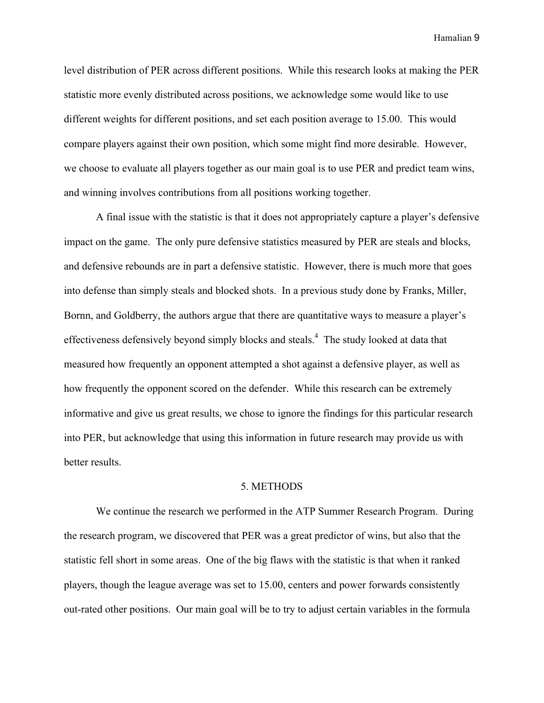level distribution of PER across different positions. While this research looks at making the PER statistic more evenly distributed across positions, we acknowledge some would like to use different weights for different positions, and set each position average to 15.00. This would compare players against their own position, which some might find more desirable. However, we choose to evaluate all players together as our main goal is to use PER and predict team wins, and winning involves contributions from all positions working together.

A final issue with the statistic is that it does not appropriately capture a player's defensive impact on the game. The only pure defensive statistics measured by PER are steals and blocks, and defensive rebounds are in part a defensive statistic. However, there is much more that goes into defense than simply steals and blocked shots. In a previous study done by Franks, Miller, Bornn, and Goldberry, the authors argue that there are quantitative ways to measure a player's effectiveness defensively beyond simply blocks and steals.<sup>4</sup> The study looked at data that measured how frequently an opponent attempted a shot against a defensive player, as well as how frequently the opponent scored on the defender. While this research can be extremely informative and give us great results, we chose to ignore the findings for this particular research into PER, but acknowledge that using this information in future research may provide us with better results.

### 5. METHODS

We continue the research we performed in the ATP Summer Research Program. During the research program, we discovered that PER was a great predictor of wins, but also that the statistic fell short in some areas. One of the big flaws with the statistic is that when it ranked players, though the league average was set to 15.00, centers and power forwards consistently out-rated other positions. Our main goal will be to try to adjust certain variables in the formula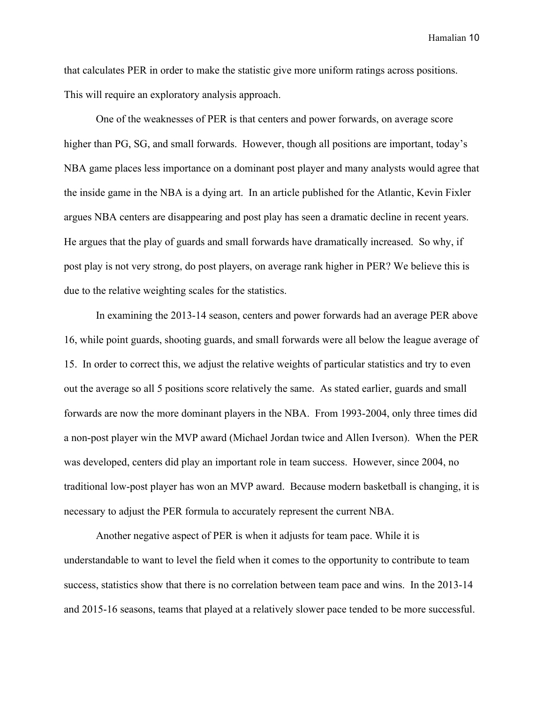that calculates PER in order to make the statistic give more uniform ratings across positions. This will require an exploratory analysis approach.

One of the weaknesses of PER is that centers and power forwards, on average score higher than PG, SG, and small forwards. However, though all positions are important, today's NBA game places less importance on a dominant post player and many analysts would agree that the inside game in the NBA is a dying art. In an article published for the Atlantic, Kevin Fixler argues NBA centers are disappearing and post play has seen a dramatic decline in recent years. He argues that the play of guards and small forwards have dramatically increased. So why, if post play is not very strong, do post players, on average rank higher in PER? We believe this is due to the relative weighting scales for the statistics.

In examining the 2013-14 season, centers and power forwards had an average PER above 16, while point guards, shooting guards, and small forwards were all below the league average of 15. In order to correct this, we adjust the relative weights of particular statistics and try to even out the average so all 5 positions score relatively the same. As stated earlier, guards and small forwards are now the more dominant players in the NBA. From 1993-2004, only three times did a non-post player win the MVP award (Michael Jordan twice and Allen Iverson). When the PER was developed, centers did play an important role in team success. However, since 2004, no traditional low-post player has won an MVP award. Because modern basketball is changing, it is necessary to adjust the PER formula to accurately represent the current NBA.

Another negative aspect of PER is when it adjusts for team pace. While it is understandable to want to level the field when it comes to the opportunity to contribute to team success, statistics show that there is no correlation between team pace and wins. In the 2013-14 and 2015-16 seasons, teams that played at a relatively slower pace tended to be more successful.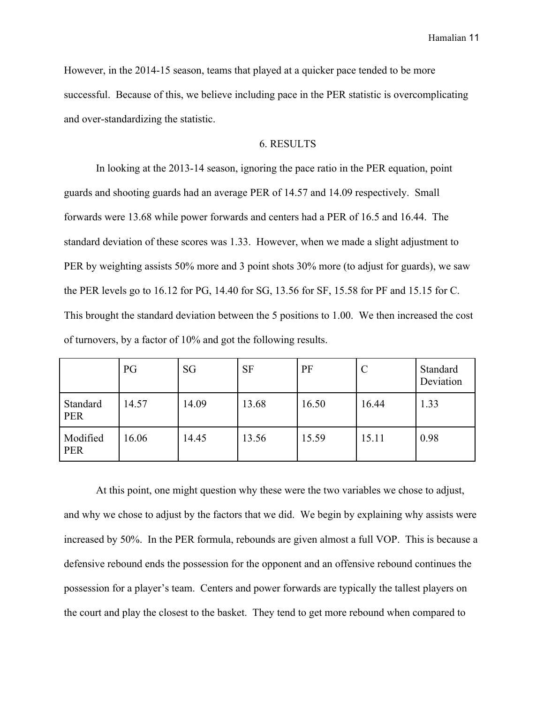However, in the 2014-15 season, teams that played at a quicker pace tended to be more successful. Because of this, we believe including pace in the PER statistic is overcomplicating and over-standardizing the statistic.

### 6. RESULTS

In looking at the 2013-14 season, ignoring the pace ratio in the PER equation, point guards and shooting guards had an average PER of 14.57 and 14.09 respectively. Small forwards were 13.68 while power forwards and centers had a PER of 16.5 and 16.44. The standard deviation of these scores was 1.33. However, when we made a slight adjustment to PER by weighting assists 50% more and 3 point shots 30% more (to adjust for guards), we saw the PER levels go to 16.12 for PG, 14.40 for SG, 13.56 for SF, 15.58 for PF and 15.15 for C. This brought the standard deviation between the 5 positions to 1.00. We then increased the cost of turnovers, by a factor of 10% and got the following results.

|                        | PG    | SG    | <b>SF</b> | PF    | $\mathcal{C}$ | Standard<br>Deviation |
|------------------------|-------|-------|-----------|-------|---------------|-----------------------|
| Standard<br><b>PER</b> | 14.57 | 14.09 | 13.68     | 16.50 | 16.44         | 1.33                  |
| Modified<br><b>PER</b> | 16.06 | 14.45 | 13.56     | 15.59 | 15.11         | 0.98                  |

At this point, one might question why these were the two variables we chose to adjust, and why we chose to adjust by the factors that we did. We begin by explaining why assists were increased by 50%. In the PER formula, rebounds are given almost a full VOP. This is because a defensive rebound ends the possession for the opponent and an offensive rebound continues the possession for a player's team. Centers and power forwards are typically the tallest players on the court and play the closest to the basket. They tend to get more rebound when compared to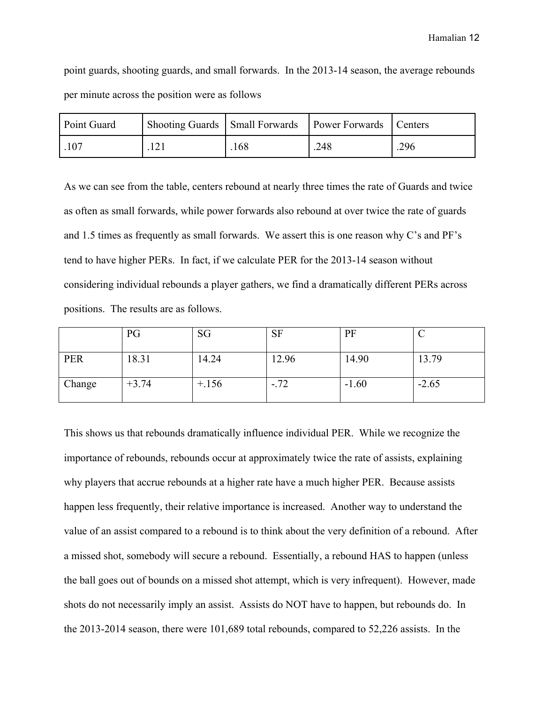point guards, shooting guards, and small forwards. In the 2013-14 season, the average rebounds per minute across the position were as follows

| Point Guard |      | Shooting Guards   Small Forwards   Power Forwards   Centers |      |      |
|-------------|------|-------------------------------------------------------------|------|------|
| .107        | .121 | .168                                                        | .248 | .296 |

As we can see from the table, centers rebound at nearly three times the rate of Guards and twice as often as small forwards, while power forwards also rebound at over twice the rate of guards and 1.5 times as frequently as small forwards. We assert this is one reason why C's and PF's tend to have higher PERs. In fact, if we calculate PER for the 2013-14 season without considering individual rebounds a player gathers, we find a dramatically different PERs across positions. The results are as follows.

|            | PG      | SG      | <b>SF</b> | PF      |         |
|------------|---------|---------|-----------|---------|---------|
| <b>PER</b> | 18.31   | 14.24   | 12.96     | 14.90   | 13.79   |
| Change     | $+3.74$ | $+.156$ | $-.72$    | $-1.60$ | $-2.65$ |

This shows us that rebounds dramatically influence individual PER. While we recognize the importance of rebounds, rebounds occur at approximately twice the rate of assists, explaining why players that accrue rebounds at a higher rate have a much higher PER. Because assists happen less frequently, their relative importance is increased. Another way to understand the value of an assist compared to a rebound is to think about the very definition of a rebound. After a missed shot, somebody will secure a rebound. Essentially, a rebound HAS to happen (unless the ball goes out of bounds on a missed shot attempt, which is very infrequent). However, made shots do not necessarily imply an assist. Assists do NOT have to happen, but rebounds do. In the 2013-2014 season, there were 101,689 total rebounds, compared to 52,226 assists. In the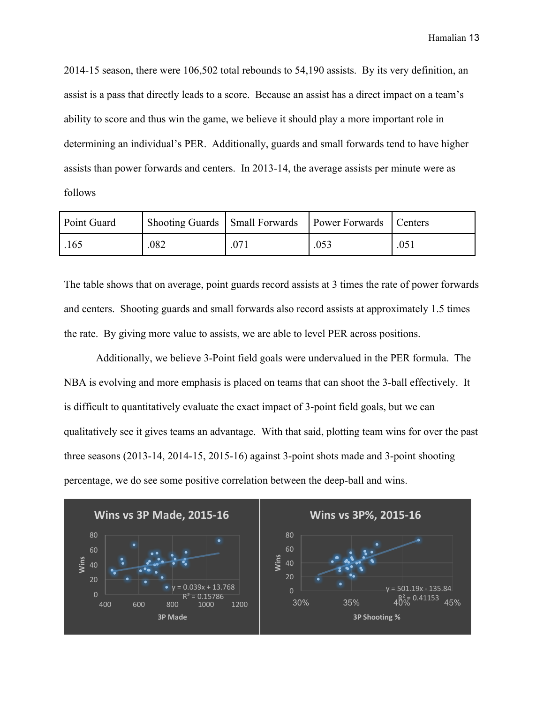2014-15 season, there were 106,502 total rebounds to 54,190 assists. By its very definition, an assist is a pass that directly leads to a score. Because an assist has a direct impact on a team's ability to score and thus win the game, we believe it should play a more important role in determining an individual's PER. Additionally, guards and small forwards tend to have higher assists than power forwards and centers. In 2013-14, the average assists per minute were as follows

| Point Guard |      | Shooting Guards   Small Forwards   Power Forwards   Centers |      |      |
|-------------|------|-------------------------------------------------------------|------|------|
| .165        | .082 | .071                                                        | .053 | .051 |

The table shows that on average, point guards record assists at 3 times the rate of power forwards and centers. Shooting guards and small forwards also record assists at approximately 1.5 times the rate. By giving more value to assists, we are able to level PER across positions.

Additionally, we believe 3-Point field goals were undervalued in the PER formula. The NBA is evolving and more emphasis is placed on teams that can shoot the 3-ball effectively. It is difficult to quantitatively evaluate the exact impact of 3-point field goals, but we can qualitatively see it gives teams an advantage. With that said, plotting team wins for over the past three seasons (2013-14, 2014-15, 2015-16) against 3-point shots made and 3-point shooting percentage, we do see some positive correlation between the deep-ball and wins.

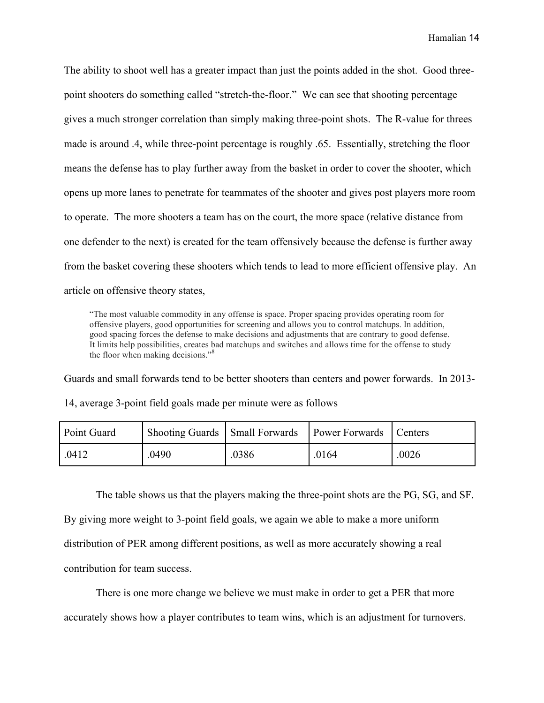The ability to shoot well has a greater impact than just the points added in the shot. Good threepoint shooters do something called "stretch-the-floor." We can see that shooting percentage gives a much stronger correlation than simply making three-point shots. The R-value for threes made is around .4, while three-point percentage is roughly .65. Essentially, stretching the floor means the defense has to play further away from the basket in order to cover the shooter, which opens up more lanes to penetrate for teammates of the shooter and gives post players more room to operate. The more shooters a team has on the court, the more space (relative distance from one defender to the next) is created for the team offensively because the defense is further away from the basket covering these shooters which tends to lead to more efficient offensive play. An article on offensive theory states,

"The most valuable commodity in any offense is space. Proper spacing provides operating room for offensive players, good opportunities for screening and allows you to control matchups. In addition, good spacing forces the defense to make decisions and adjustments that are contrary to good defense. It limits help possibilities, creates bad matchups and switches and allows time for the offense to study the floor when making decisions." 8

Guards and small forwards tend to be better shooters than centers and power forwards. In 2013- 14, average 3-point field goals made per minute were as follows

| Point Guard |       | Shooting Guards   Small Forwards   Power Forwards   Centers |       |       |
|-------------|-------|-------------------------------------------------------------|-------|-------|
| .0412       | .0490 | .0386                                                       | .0164 | .0026 |

The table shows us that the players making the three-point shots are the PG, SG, and SF.

By giving more weight to 3-point field goals, we again we able to make a more uniform distribution of PER among different positions, as well as more accurately showing a real contribution for team success.

There is one more change we believe we must make in order to get a PER that more accurately shows how a player contributes to team wins, which is an adjustment for turnovers.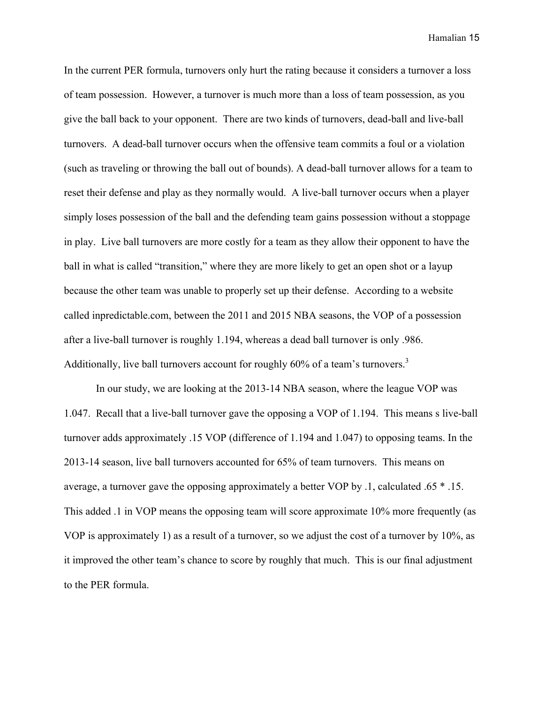In the current PER formula, turnovers only hurt the rating because it considers a turnover a loss of team possession. However, a turnover is much more than a loss of team possession, as you give the ball back to your opponent. There are two kinds of turnovers, dead-ball and live-ball turnovers. A dead-ball turnover occurs when the offensive team commits a foul or a violation (such as traveling or throwing the ball out of bounds). A dead-ball turnover allows for a team to reset their defense and play as they normally would. A live-ball turnover occurs when a player simply loses possession of the ball and the defending team gains possession without a stoppage in play. Live ball turnovers are more costly for a team as they allow their opponent to have the ball in what is called "transition," where they are more likely to get an open shot or a layup because the other team was unable to properly set up their defense. According to a website called inpredictable.com, between the 2011 and 2015 NBA seasons, the VOP of a possession after a live-ball turnover is roughly 1.194, whereas a dead ball turnover is only .986. Additionally, live ball turnovers account for roughly 60% of a team's turnovers.<sup>3</sup>

In our study, we are looking at the 2013-14 NBA season, where the league VOP was 1.047. Recall that a live-ball turnover gave the opposing a VOP of 1.194. This means s live-ball turnover adds approximately .15 VOP (difference of 1.194 and 1.047) to opposing teams. In the 2013-14 season, live ball turnovers accounted for 65% of team turnovers. This means on average, a turnover gave the opposing approximately a better VOP by .1, calculated .65 \* .15. This added .1 in VOP means the opposing team will score approximate 10% more frequently (as VOP is approximately 1) as a result of a turnover, so we adjust the cost of a turnover by 10%, as it improved the other team's chance to score by roughly that much. This is our final adjustment to the PER formula.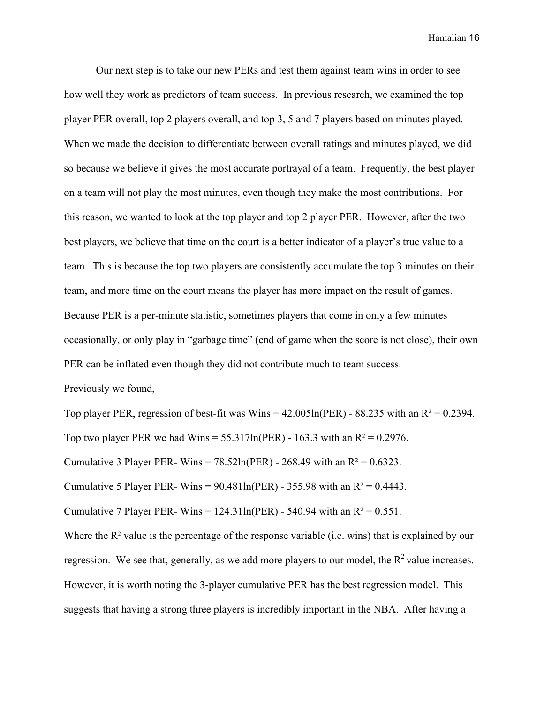Our next step is to take our new PERs and test them against team wins in order to see how well they work as predictors of team success. In previous research, we examined the top player PER overall, top 2 players overall, and top 3, 5 and 7 players based on minutes played. When we made the decision to differentiate between overall ratings and minutes played, we did so because we believe it gives the most accurate portrayal of a team. Frequently, the best player on a team will not play the most minutes, even though they make the most contributions. For this reason, we wanted to look at the top player and top 2 player PER. However, after the two best players, we believe that time on the court is a better indicator of a player's true value to a team. This is because the top two players are consistently accumulate the top 3 minutes on their team, and more time on the court means the player has more impact on the result of games. Because PER is a per-minute statistic, sometimes players that come in only a few minutes occasionally, or only play in "garbage time" (end of game when the score is not close), their own PER can be inflated even though they did not contribute much to team success. Previously we found,

Top player PER, regression of best-fit was Wins =  $42.005\ln(\text{PER})$  - 88.235 with an R<sup>2</sup> = 0.2394. Top two player PER we had Wins =  $55.317\text{ln(PER)}$  - 163.3 with an R<sup>2</sup> = 0.2976. Cumulative 3 Player PER- Wins =  $78.52\text{ln(PER)}$  - 268.49 with an R<sup>2</sup> = 0.6323. Cumulative 5 Player PER- Wins =  $90.481\text{ln(PER)}$  - 355.98 with an R<sup>2</sup> = 0.4443. Cumulative 7 Player PER- Wins =  $124.31\text{ln(PER)}$  - 540.94 with an R<sup>2</sup> = 0.551. Where the  $\mathbb{R}^2$  value is the percentage of the response variable (i.e. wins) that is explained by our regression. We see that, generally, as we add more players to our model, the  $R^2$  value increases. However, it is worth noting the 3-player cumulative PER has the best regression model. This suggests that having a strong three players is incredibly important in the NBA. After having a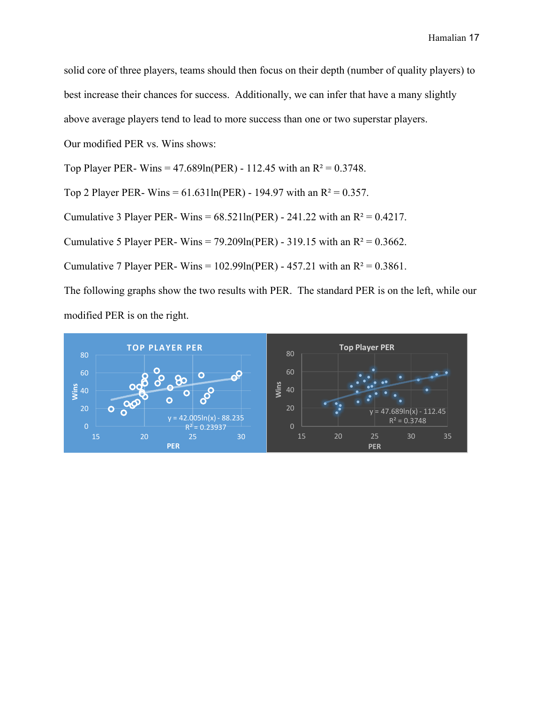solid core of three players, teams should then focus on their depth (number of quality players) to best increase their chances for success. Additionally, we can infer that have a many slightly

above average players tend to lead to more success than one or two superstar players.

Our modified PER vs. Wins shows:

Top Player PER- Wins =  $47.689\ln(PER)$  - 112.45 with an R<sup>2</sup> = 0.3748.

Top 2 Player PER- Wins =  $61.631\text{ln(PER)}$  - 194.97 with an R<sup>2</sup> = 0.357.

Cumulative 3 Player PER- Wins =  $68.521 \text{ln}(PER)$  - 241.22 with an  $R^2 = 0.4217$ .

Cumulative 5 Player PER- Wins =  $79.209$ ln(PER) - 319.15 with an R<sup>2</sup> = 0.3662.

Cumulative 7 Player PER- Wins =  $102.99 \text{ln}(\text{PER})$  -  $457.21$  with an  $\text{R}^2 = 0.3861$ .

The following graphs show the two results with PER. The standard PER is on the left, while our modified PER is on the right.

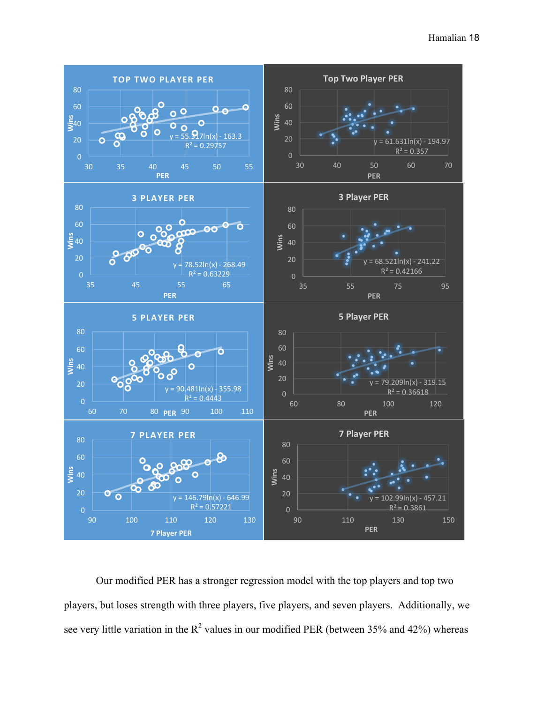

Our modified PER has a stronger regression model with the top players and top two players, but loses strength with three players, five players, and seven players. Additionally, we see very little variation in the  $R^2$  values in our modified PER (between 35% and 42%) whereas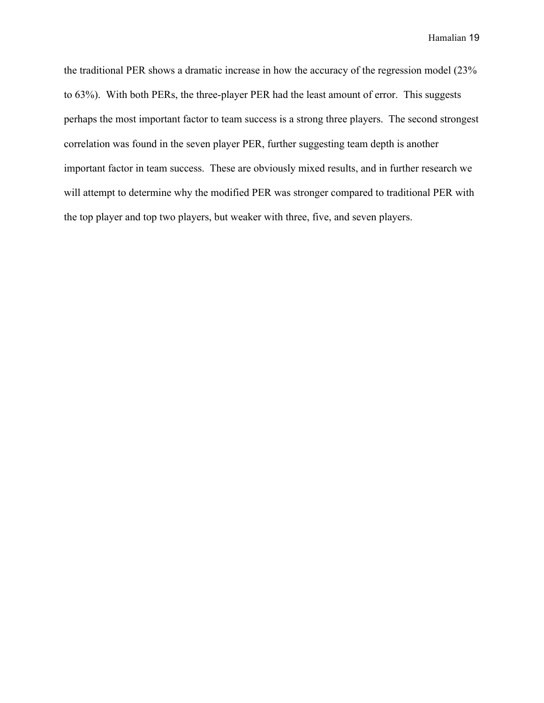the traditional PER shows a dramatic increase in how the accuracy of the regression model (23% to 63%). With both PERs, the three-player PER had the least amount of error. This suggests perhaps the most important factor to team success is a strong three players. The second strongest correlation was found in the seven player PER, further suggesting team depth is another important factor in team success. These are obviously mixed results, and in further research we will attempt to determine why the modified PER was stronger compared to traditional PER with the top player and top two players, but weaker with three, five, and seven players.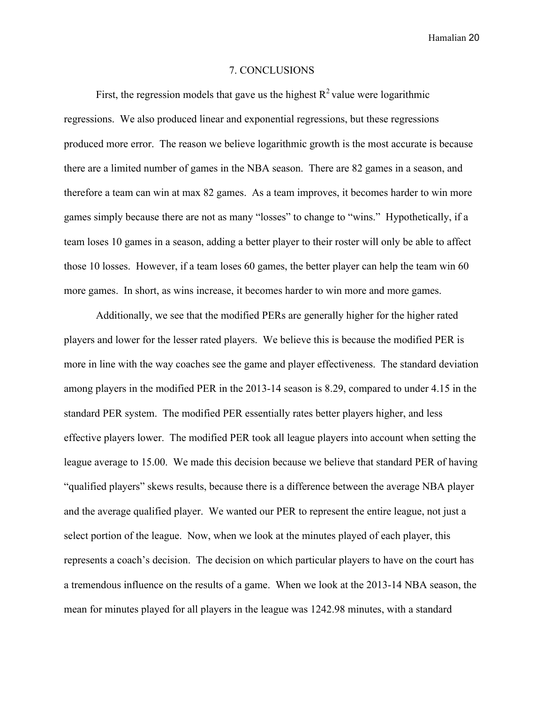### 7. CONCLUSIONS

First, the regression models that gave us the highest  $R^2$  value were logarithmic regressions. We also produced linear and exponential regressions, but these regressions produced more error. The reason we believe logarithmic growth is the most accurate is because there are a limited number of games in the NBA season. There are 82 games in a season, and therefore a team can win at max 82 games. As a team improves, it becomes harder to win more games simply because there are not as many "losses" to change to "wins." Hypothetically, if a team loses 10 games in a season, adding a better player to their roster will only be able to affect those 10 losses. However, if a team loses 60 games, the better player can help the team win 60 more games. In short, as wins increase, it becomes harder to win more and more games.

Additionally, we see that the modified PERs are generally higher for the higher rated players and lower for the lesser rated players. We believe this is because the modified PER is more in line with the way coaches see the game and player effectiveness. The standard deviation among players in the modified PER in the 2013-14 season is 8.29, compared to under 4.15 in the standard PER system. The modified PER essentially rates better players higher, and less effective players lower. The modified PER took all league players into account when setting the league average to 15.00. We made this decision because we believe that standard PER of having "qualified players" skews results, because there is a difference between the average NBA player and the average qualified player. We wanted our PER to represent the entire league, not just a select portion of the league. Now, when we look at the minutes played of each player, this represents a coach's decision. The decision on which particular players to have on the court has a tremendous influence on the results of a game. When we look at the 2013-14 NBA season, the mean for minutes played for all players in the league was 1242.98 minutes, with a standard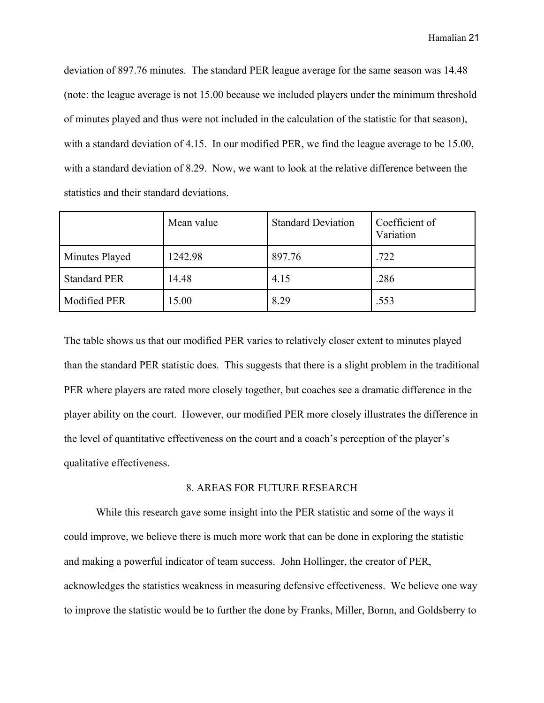deviation of 897.76 minutes. The standard PER league average for the same season was 14.48 (note: the league average is not 15.00 because we included players under the minimum threshold of minutes played and thus were not included in the calculation of the statistic for that season), with a standard deviation of 4.15. In our modified PER, we find the league average to be 15.00, with a standard deviation of 8.29. Now, we want to look at the relative difference between the statistics and their standard deviations.

|                     | Mean value | <b>Standard Deviation</b> | Coefficient of<br>Variation |
|---------------------|------------|---------------------------|-----------------------------|
| Minutes Played      | 1242.98    | 897.76                    | .722                        |
| <b>Standard PER</b> | 14.48      | 4.15                      | .286                        |
| Modified PER        | 15.00      | 8.29                      | .553                        |

The table shows us that our modified PER varies to relatively closer extent to minutes played than the standard PER statistic does. This suggests that there is a slight problem in the traditional PER where players are rated more closely together, but coaches see a dramatic difference in the player ability on the court. However, our modified PER more closely illustrates the difference in the level of quantitative effectiveness on the court and a coach's perception of the player's qualitative effectiveness.

### 8. AREAS FOR FUTURE RESEARCH

While this research gave some insight into the PER statistic and some of the ways it could improve, we believe there is much more work that can be done in exploring the statistic and making a powerful indicator of team success. John Hollinger, the creator of PER, acknowledges the statistics weakness in measuring defensive effectiveness. We believe one way to improve the statistic would be to further the done by Franks, Miller, Bornn, and Goldsberry to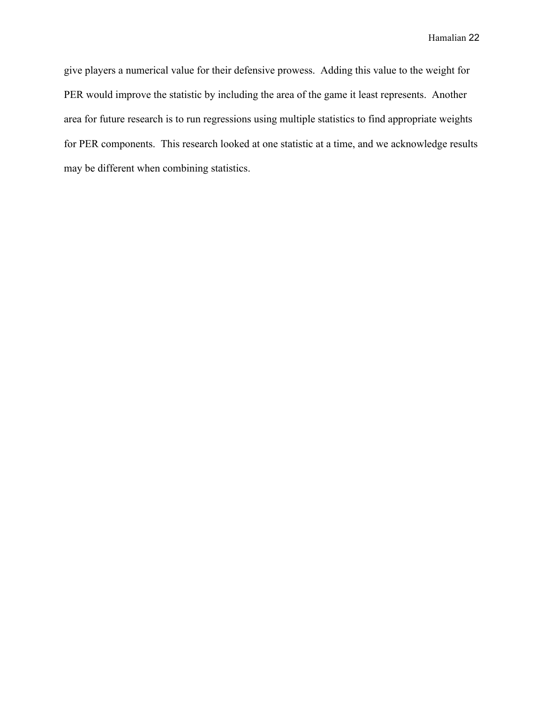give players a numerical value for their defensive prowess. Adding this value to the weight for PER would improve the statistic by including the area of the game it least represents. Another area for future research is to run regressions using multiple statistics to find appropriate weights for PER components. This research looked at one statistic at a time, and we acknowledge results may be different when combining statistics.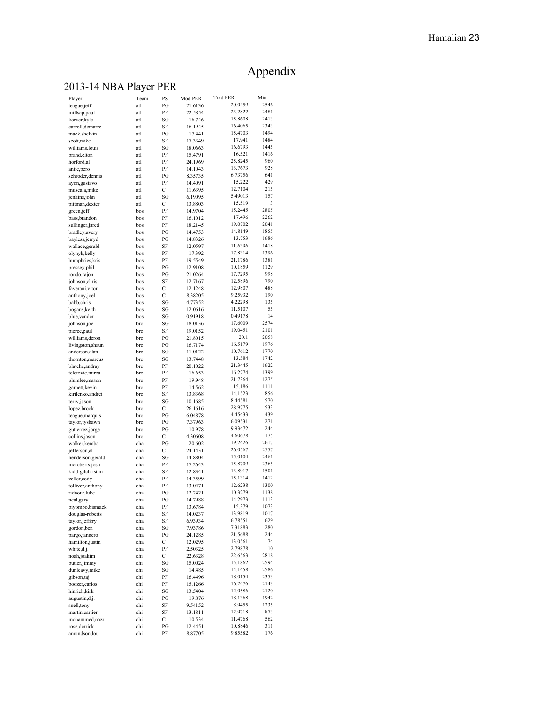## Appendix

### 2013 -14 NBA Player PER

| 2013-14 INDA PIAYEI PEN |      |              |         |                 |      |  |
|-------------------------|------|--------------|---------|-----------------|------|--|
|                         | Team | PS           | Mod PER | <b>Trad PER</b> | Min  |  |
| Player                  |      |              |         |                 | 2546 |  |
| teague, jeff            | atl  | PG           | 21.6136 | 20.0459         |      |  |
| millsap,paul            | atl  | PF           | 22.5854 | 23.2822         | 2481 |  |
| korver, kyle            | atl  | SG           | 16.746  | 15.8608         | 2413 |  |
| carroll, demarre        | atl  | SF           | 16.1945 | 16.4065         | 2343 |  |
| mack,shelvin            | atl  | PG           | 17.441  | 15.4703         | 1494 |  |
| scott,mike              | atl  | SF           | 17.3349 | 17.941          | 1484 |  |
| williams, louis         | atl  | SG           | 18.0663 | 16.6793         | 1445 |  |
| brand, elton            | atl  | PF           | 15.4791 | 16.521          | 1416 |  |
| horford,al              | atl  | PF           | 24.1969 | 25.8245         | 960  |  |
| antic, pero             | atl  | PF           | 14.1043 | 13.7673         | 928  |  |
|                         | atl  |              |         | 6.73756         | 641  |  |
| schroder, dennis        |      | PG           | 8.35735 |                 | 429  |  |
| ayon,gustavo            | atl  | PF           | 14.4091 | 15.222          |      |  |
| muscala, mike           | atl  | C            | 11.6395 | 12.7104         | 215  |  |
| jenkins,john            | atl  | SG           | 6.19095 | 5.49013         | 157  |  |
| pittman, dexter         | atl  | С            | 13.8803 | 15.519          | 3    |  |
| green,jeff              | bos  | PF           | 14.9704 | 15.2445         | 2805 |  |
| bass, brandon           | bos  | PF           | 16.1012 | 17.496          | 2262 |  |
| sullinger,jared         | bos  | PF           | 18.2145 | 19.0702         | 2041 |  |
| bradley, avery          | bos  | PG           | 14.4753 | 14.8149         | 1855 |  |
| bayless,jerryd          | bos  | PG           | 14.8326 | 13.753          | 1686 |  |
|                         | bos  | SF           | 12.0597 | 11.6396         | 1418 |  |
| wallace, gerald         |      |              |         | 17.8314         | 1396 |  |
| olynyk, kelly           | bos  | PF           | 17.392  |                 |      |  |
| humphries, kris         | bos  | PF           | 19.5549 | 21.1786         | 1381 |  |
| pressey,phil            | bos  | PG           | 12.9108 | 10.1859         | 1129 |  |
| rondo,rajon             | bos  | PG           | 21.0264 | 17.7295         | 998  |  |
| johnson, chris          | bos  | SF           | 12.7167 | 12.5896         | 790  |  |
| faverani, vitor         | bos  | C            | 12.1248 | 12.9807         | 488  |  |
| anthony,joel            | bos  | C            | 8.38205 | 9.25932         | 190  |  |
| babb, chris             | bos  | SG           | 4.77352 | 4.22298         | 135  |  |
| bogans, keith           | bos  | SG           | 12.0616 | 11.5107         | 55   |  |
| blue, vander            | bos  | SG           | 0.91918 | 0.49178         | 14   |  |
| johnson,joe             | bro  | SG           | 18.0136 | 17.6009         | 2574 |  |
|                         |      |              |         | 19.0451         | 2101 |  |
| pierce, paul            | bro  | SF           | 19.0152 |                 | 2058 |  |
| williams, deron         | bro  | PG           | 21.8015 | 20.1            |      |  |
| livingston, shaun       | bro  | PG           | 16.7174 | 16.5179         | 1976 |  |
| anderson, alan          | bro  | SG           | 11.0122 | 10.7612         | 1770 |  |
| thornton, marcus        | bro  | SG           | 13.7448 | 13.584          | 1742 |  |
| blatche, andray         | bro  | PF           | 20.1022 | 21.3445         | 1622 |  |
| teletovic, mirza        | bro  | PF           | 16.653  | 16.2774         | 1399 |  |
| plumlee, mason          | bro  | PF           | 19.948  | 21.7364         | 1275 |  |
| garnett, kevin          | bro  | PF           | 14.562  | 15.186          | 1111 |  |
| kirilenko, andrei       | bro  | SF           | 13.8368 | 14.1523         | 856  |  |
| terry,jason             | bro  | SG           | 10.1685 | 8.44581         | 570  |  |
| lopez, brook            | bro  | C            |         | 28.9775         | 533  |  |
|                         |      |              | 26.1616 | 4.45433         | 439  |  |
| teague, marquis         | bro  | PG           | 6.04878 |                 |      |  |
| taylor, tyshawn         | bro  | PG           | 7.37963 | 6.09531         | 271  |  |
| gutierrez,jorge         | bro  | PG           | 10.978  | 9.93472         | 244  |  |
| collins,jason           | bro  | $\mathsf{C}$ | 4.30608 | 4.60678         | 175  |  |
| walker, kemba           | cha  | PG           | 20.602  | 19.2426         | 2617 |  |
| jefferson,al            | cha  | C            | 24.1431 | 26.0567         | 2557 |  |
| henderson, gerald       | cha  | SG           | 14.8804 | 15.0104         | 2461 |  |
| mcroberts, josh         | cha  | PF           | 17.2643 | 15.8709         | 2365 |  |
| kidd-gilchrist,m        | cha  | SF           | 12.8341 | 13.8917         | 1501 |  |
| zeller, cody            | cha  | PF           | 14.3599 | 15.1314         | 1412 |  |
|                         |      | PF           | 13.0471 | 12.6238         | 1300 |  |
| tolliver, anthony       | cha  |              |         | 10.3279         | 1138 |  |
| ridnour, luke           | cha  | PG           | 12.2421 |                 |      |  |
| neal, gary              | cha  | PG           | 14.7988 | 14.2973         | 1113 |  |
| biyombo, bismack        | cha  | PF           | 13.6784 | 15.379          | 1073 |  |
| douglas-roberts         | cha  | SF           | 14.0237 | 13.9819         | 1017 |  |
| taylor, jeffery         | cha  | SF           | 6.93934 | 6.78551         | 629  |  |
| gordon, ben             | cha  | SG           | 7.93786 | 7.31883         | 280  |  |
| pargo,jannero           | cha  | PG           | 24.1285 | 21.5688         | 244  |  |
| hamilton, justin        | cha  | С            | 12.0295 | 13.0561         | 74   |  |
| white, d.j.             | cha  | PF           | 2.50325 | 2.79878         | 10   |  |
| noah,joakim             | chi  | С            | 22.6328 | 22.6563         | 2818 |  |
|                         | chi  | SG           |         | 15.1862         | 2594 |  |
| butler,jimmy            |      |              | 15.0024 | 14.1458         | 2586 |  |
| dunleavy, mike          | chi  | SG           | 14.485  |                 |      |  |
| gibson,taj              | chi  | PF           | 16.4496 | 18.0154         | 2353 |  |
| boozer, carlos          | chi  | PF           | 15.1266 | 16.2476         | 2143 |  |
| hinrich, kirk           | chi  | SG           | 13.5404 | 12.0586         | 2120 |  |
| augustin,d.j.           | chi  | PG           | 19.876  | 18.1368         | 1942 |  |
| snell, tony             | chi  | SF           | 9.54152 | 8.9455          | 1235 |  |
| martin, cartier         | chi  | SF           | 13.1811 | 12.9718         | 873  |  |
| mohammed,nazr           | chi  | С            | 10.534  | 11.4768         | 562  |  |
| rose, derrick           | chi  | PG           | 12.4451 | 10.8846         | 311  |  |
| amundson, lou           | chi  | PF           | 8.87705 | 9.85582         | 176  |  |
|                         |      |              |         |                 |      |  |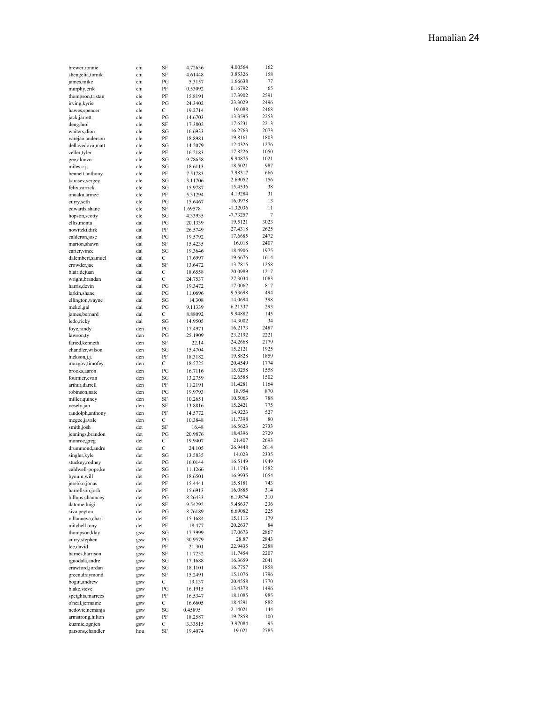| brewer, ronnie                   | chi | SF | 4.72636 | 4.00564          | 162  |
|----------------------------------|-----|----|---------|------------------|------|
| shengelia, tornik                | chi | SF | 4.61448 | 3.85326          | 158  |
| james, mike                      | chi | PG | 5.3157  | 1.66638          | 77   |
| murphy, erik                     | chi | PF | 0.53092 | 0.16792          | 65   |
| thompson, tristan                | cle | PF | 15.8191 | 17.3902          | 2591 |
| irving, kyrie                    | cle | PG | 24.3402 | 23.3029          | 2496 |
| hawes, spencer                   | cle | С  | 19.2714 | 19.088           | 2468 |
| jack,jarrett                     | cle | PG | 14.6703 | 13.3595          | 2253 |
| deng, luol                       | cle | SF | 17.3802 | 17.6231          | 2213 |
| waiters, dion                    | cle | SG | 16.6933 | 16.2763          | 2073 |
| varejao, anderson                | cle | PF | 18.8981 | 19.8161          | 1803 |
| dellavedova, matt                | cle | SG | 14.2079 | 12.4326          | 1276 |
| zeller,tyler                     | cle | PF | 16.2183 | 17.8226          | 1050 |
| gee,alonzo                       | cle | SG | 9.78658 | 9.94875          | 1021 |
| miles, c.j.                      | cle | SG | 18.6113 | 18.5021          | 987  |
| bennett, anthony                 | cle | PF | 7.51783 | 7.98317          | 666  |
|                                  | cle | SG | 3.11706 | 2.69052          | 156  |
| karasev, sergey<br>felix,carrick |     | SG |         | 15.4536          | 38   |
|                                  | cle |    | 15.9787 | 4.19284          | 31   |
| onuaku, arinze                   | cle | PF | 5.31294 | 16.0978          | 13   |
| curry,seth                       | cle | PG | 15.6467 |                  | 11   |
| edwards, shane                   | cle | SF | 1.69578 | $-1.32036$       |      |
| hopson, scotty                   | cle | SG | 4.33935 | $-7.73257$       | 7    |
| ellis, monta                     | dal | PG | 20.1339 | 19.5121          | 3023 |
| nowitzki,dirk                    | dal | PF | 26.5749 | 27.4318          | 2625 |
| calderon,jose                    | dal | PG | 19.5792 | 17.6685          | 2472 |
| marion, shawn                    | dal | SF | 15.4235 | 16.018           | 2407 |
| carter, vince                    | dal | SG | 19.3646 | 18.4906          | 1975 |
| dalembert, samuel                | dal | С  | 17.6997 | 19.6676          | 1614 |
| crowder,jae                      | dal | SF | 13.6472 | 13.7815          | 1258 |
| blair, dejuan                    | dal | C  | 18.6558 | 20.0989          | 1217 |
| wright, brandan                  | dal | С  | 24.7537 | 27.3034          | 1083 |
| harris, devin                    | dal | PG | 19.3472 | 17.0062          | 817  |
| larkin, shane                    | dal | PG | 11.0696 | 9.53698          | 494  |
| ellington, wayne                 | dal | SG | 14.308  | 14.0694          | 398  |
| mekel,gal                        | dal | PG | 9.11339 | 6.21337          | 293  |
| james, bernard                   | dal | С  | 8.88092 | 9.94882          | 145  |
| ledo,ricky                       | dal | SG | 14.9505 | 14.3002          | 34   |
| foye,randy                       | den | PG | 17.4971 | 16.2173          | 2487 |
| lawson,ty                        | den | PG | 25.1909 | 23.2192          | 2221 |
| faried, kenneth                  | den | SF | 22.14   | 24.2668          | 2179 |
| chandler, wilson                 | den | SG | 15.4704 | 15.2121          | 1925 |
| hickson,j.j.                     | den | PF | 18.3182 | 19.8828          | 1859 |
| mozgov,timofey                   | den | С  | 18.5725 | 20.4549          | 1774 |
| brooks,aaron                     | den | PG | 16.7116 | 15.0258          | 1558 |
|                                  | den | SG |         | 12.6588          | 1502 |
| fournier, evan                   |     |    | 13.2759 | 11.4281          | 1164 |
| arthur, darrell                  | den | PF | 11.2191 |                  |      |
| robinson, nate                   | den | PG | 19.9793 | 18.954           | 870  |
| miller, quincy                   | den | SF | 10.2651 | 10.5063          | 788  |
| vesely,jan                       | den | SF | 13.8816 | 15.2421          | 775  |
| randolph, anthony                | den | PF | 14.5772 | 14.9223          | 527  |
| mcgee,javale                     | den | C  | 10.3848 | 11.7398          | 80   |
| smith,josh                       | det | SF | 16.48   | 16.5623          | 2733 |
| jennings, brandon                | det | PG | 20.9876 | 18.4396          | 2729 |
| monroe,greg                      | det | C  | 19.9407 | 21.407           | 2693 |
| drummond, andre                  | det | С  | 24.105  | 26.9448          | 2614 |
| singler, kyle                    | det | SG | 13.5835 | 14.023           | 2335 |
| stuckey,rodney                   | det | PG | 16.0144 | 16.5149          | 1949 |
| caldwell-pope,ke                 | det | SG | 11.1266 | 11.1743          | 1582 |
| bynum, will                      | det | PG | 18.6501 | 16.9935          | 1054 |
| jerebko, jonas                   | det | PF | 15.4441 | 15.8181          | 743  |
| harrellson,josh                  | det | PF | 15.6913 | 16.0885          | 314  |
| billups, chauncey                | det | PG | 8.26433 | 6.19874          | 310  |
| datome, luigi                    | det | SF | 9.54292 | 9.48637          | 236  |
| siva, peyton                     | det | PG | 8.76189 | 6.69082          | 225  |
| villanueva, charl                |     | PF |         | 15.1113          | 179  |
|                                  | det |    | 15.1684 | 20.2637          | 84   |
| mitchell, tony                   | det | PF | 18.477  | 17.0673          | 2867 |
| thompson, klay                   | gsw | SG | 17.3999 |                  |      |
| curry, stephen                   | gsw | PG | 30.9579 | 28.87<br>22.9435 | 2843 |
| lee, david                       | gsw | PF | 21.301  |                  | 2288 |
| barnes, harrison                 | gsw | SF | 11.7232 | 11.7454          | 2207 |
| iguodala, andre                  | gsw | SG | 17.1688 | 16.3659          | 2041 |
| crawford,jordan                  | gsw | SG | 18.1101 | 16.7757          | 1858 |
| green, draymond                  | gsw | SF | 15.2491 | 15.1076          | 1796 |
| bogut, andrew                    | gsw | С  | 19.137  | 20.4558          | 1770 |
| blake, steve                     | gsw | PG | 16.1915 | 13.4378          | 1496 |
| speights, marrees                | gsw | PF | 16.5347 | 18.1085          | 985  |
| o'neal,jermaine                  | gsw | С  | 16.6605 | 18.4291          | 882  |
| nedovic, nemanja                 | gsw | SG | 0.45895 | $-2.14021$       | 144  |
| armstrong, hilton                | gsw | PF | 18.2587 | 19.7858          | 100  |
| kuzmic, ognjen                   | gsw | С  | 3.33515 | 3.97084          | 95   |
| parsons, chandler                | hou | SF | 19.4074 | 19.021           | 2785 |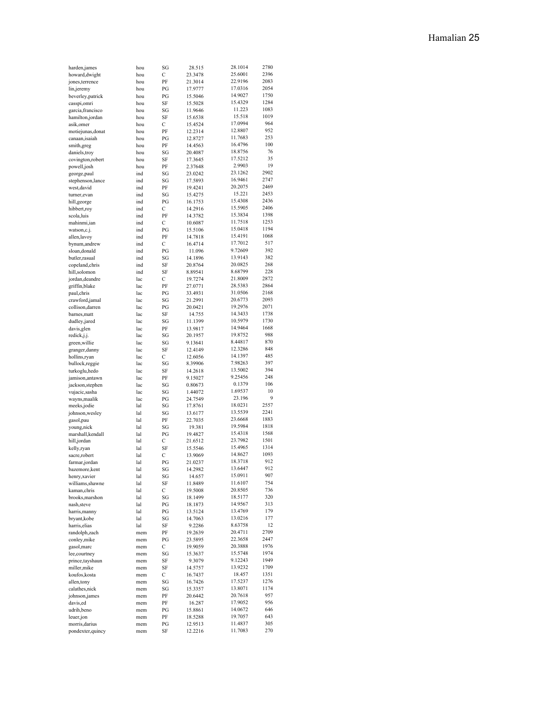| harden, james                       | hou        | SG       | 28.515             | 28.1014            | 2780       |
|-------------------------------------|------------|----------|--------------------|--------------------|------------|
| howard, dwight                      | hou        | C        | 23.3478            | 25.6001            | 2396       |
| jones, terrence                     | hou        | PF       | 21.3014            | 22.9196            | 2083       |
| lin,jeremy                          | hou        | PG       | 17.9777            | 17.0316            | 2054       |
| beverley, patrick                   | hou        | PG       | 15.5046            | 14.9027            | 1750       |
| casspi,omri                         | hou        | SF       | 15.5028            | 15.4329            | 1284       |
| garcia, francisco                   | hou        | SG       | 11.9646            | 11.223             | 1083       |
| hamilton, jordan                    | hou        | SF       | 15.6538            | 15.518             | 1019       |
| asik,omer                           | hou        | С        | 15.4524            | 17.0994            | 964        |
| motiejunas, donat                   | hou        | PF       | 12.2314            | 12.8807            | 952        |
| canaan, isaiah                      | hou        | PG       | 12.8727            | 11.7683            | 253        |
| smith, greg                         | hou        | PF       | 14.4563            | 16.4796            | 100        |
|                                     |            | SG       |                    | 18.8756            | 76         |
| daniels, troy                       | hou        |          | 20.4087            |                    |            |
| covington,robert                    | hou        | SF       | 17.3645            | 17.5212            | 35         |
| powell,josh                         | hou        | PF       | 2.37648            | 2.9903             | 19         |
| george, paul                        | ind        | SG       | 23.0242            | 23.1262            | 2902       |
| stephenson, lance                   | ind        | SG       | 17.5893            | 16.9461            | 2747       |
| west, david                         | ind        | PF       | 19.4241            | 20.2075            | 2469       |
| turner, evan                        | ind        | SG       | 15.4275            | 15.221             | 2453       |
| hill, george                        | ind        | PG       | 16.1753            | 15.4308            | 2436       |
| hibbert, roy                        | ind        | C        | 14.2916            | 15.5905            | 2406       |
| scola, luis                         | ind        | PF       | 14.3782            | 15.3834            | 1398       |
| mahinmi,ian                         | ind        | С        | 10.6087            | 11.7518            | 1253       |
| watson,c.j.                         | ind        | PG       | 15.5106            | 15.0418            | 1194       |
| allen, lavoy                        | ind        | PF       | 14.7818            | 15.4191            | 1068       |
|                                     | ind        | C        | 16.4714            | 17.7012            | 517        |
| bynum, andrew                       |            |          |                    |                    | 392        |
| sloan, donald                       | ind        | PG       | 11.096             | 9.72609            |            |
| butler, rasual                      | ind        | SG       | 14.1896            | 13.9143            | 382        |
| copeland, chris                     | ind        | SF       | 20.8764            | 20.0825            | 268        |
| hill,solomon                        | ind        | SF       | 8.89541            | 8.68799            | 228        |
| jordan, deandre                     | lac        | С        | 19.7274            | 21.8009            | 2872       |
| griffin, blake                      | lac        | PF       | 27.0771            | 28.5383            | 2864       |
| paul, chris                         | lac        | PG       | 33.4931            | 31.0506            | 2168       |
| crawford,jamal                      | lac        | SG       | 21.2991            | 20.6773            | 2093       |
| collison, darren                    | lac        | PG       | 20.0421            | 19.2976            | 2071       |
| barnes, matt                        | lac        | SF       | 14.755             | 14.3433            | 1738       |
| dudley,jared                        | lac        | SG       | 11.1399            | 10.5979            | 1730       |
| davis, glen                         | lac        | PF       | 13.9817            | 14.9464            | 1668       |
|                                     |            |          |                    | 19.8752            | 988        |
| redick,j.j.                         | lac        | SG       | 20.1957            | 8.44817            | 870        |
| green, willie                       | lac        | SG       | 9.13641            |                    | 848        |
| granger, danny                      | lac        | SF       | 12.4149            | 12.3286            |            |
| hollins,ryan                        | lac        | С        | 12.6056            | 14.1397            | 485        |
| bullock, reggie                     | lac        | SG       | 8.39906            | 7.98263            | 397        |
| turkoglu, hedo                      | lac        | SF       | 14.2618            | 13.5002            | 394        |
| jamison, antawn                     | lac        | PF       | 9.15027            | 9.25456            | 248        |
| jackson, stephen                    | lac        | SG       | 0.80673            | 0.1379             | 106        |
| vujacic, sasha                      | lac        | SG       | 1.44072            | 1.69537            | 10         |
| wayns, maalik                       | lac        | PG       | 24.7549            | 23.196             | 9          |
| meeks,jodie                         | lal        | SG       | 17.8761            | 18.0231            | 2557       |
| johnson, wesley                     | lal        | SG       | 13.6177            | 13.5539            | 2241       |
| gasol,pau                           | lal        | PF       | 22.7035            | 23.6668            | 1883       |
| young,nick                          | lal        | SG       | 19.381             | 19.5984            | 1818       |
|                                     |            |          |                    |                    | 1568       |
| marshall, kendall                   | lal        | PG       | 19.4827            | 15.4318            |            |
| hill,jordan                         | lal        | С        | 21.6512            | 23.7982            | 1501       |
| kelly,ryan                          | lal        | SF       | 15.5546            | 15.4965            | 1314       |
| sacre, robert                       | lal        | С        | 13.9069            | 14.8627            | 1093       |
| farmar,jordan                       | lal        | PG       | 21.0237            | 18.3718            | 912        |
| bazemore, kent                      | lal        | SG       | 14.2982            | 13.6447            | 912        |
| henry, xavier                       | lal        | SG       | 14.657             | 15.0911            | 907        |
| williams, shawne                    | lal        | SF       | 11.8489            | 11.6107            | 754        |
| kaman, chris                        | lal        | С        | 19.5008            | 20.8505            | 736        |
| brooks, marshon                     | lal        | SG       | 18.1499            | 18.5177            | 320        |
| nash, steve                         | lal        | PG       | 18.1873            | 14.9567            | 313        |
| harris,manny                        | lal        | PG       | 13.5124            | 13.4769            | 179        |
| bryant, kobe                        | lal        | SG       |                    | 13.0216            | 177        |
| harris, elias                       |            |          |                    |                    |            |
|                                     |            |          | 14.7063            |                    |            |
|                                     | lal        | SF       | 9.2286             | 8.63758            | 12         |
| randolph,zach                       | mem        | PF       | 19.2639            | 20.4711            | 2709       |
| conley, mike                        | mem        | PG       | 23.5895            | 22.3658            | 2447       |
| gasol, marc                         | mem        | С        | 19.9059            | 20.3888            | 1976       |
| lee, courtney                       | mem        | SG       | 15.3637            | 15.5748            | 1974       |
| prince, tayshaun                    | mem        | SF       | 9.3079             | 9.12243            | 1949       |
| miller, mike                        | mem        | SF       | 14.5757            | 13.9232            | 1709       |
| koufos, kosta                       | mem        | С        | 16.7437            | 18.457             | 1351       |
| allen, tony                         | mem        | SG       | 16.7426            | 17.5237            | 1276       |
| calathes, nick                      | mem        | SG       | 15.3357            | 13.8071            | 1174       |
|                                     |            |          |                    | 20.7618            | 957        |
| johnson, james                      | mem        | PF       | 20.6442            |                    |            |
| davis,ed                            | mem        | PF       | 16.287             | 17.9052            | 956        |
| udrih, beno                         | mem        | PG       | 15.8861            | 14.0672            | 646        |
| leuer,jon                           | mem        | PF       | 18.5288            | 19.7057            | 643        |
| morris, darius<br>pondexter, quincy | mem<br>mem | PG<br>SF | 12.9513<br>12.2216 | 11.4837<br>11.7083 | 305<br>270 |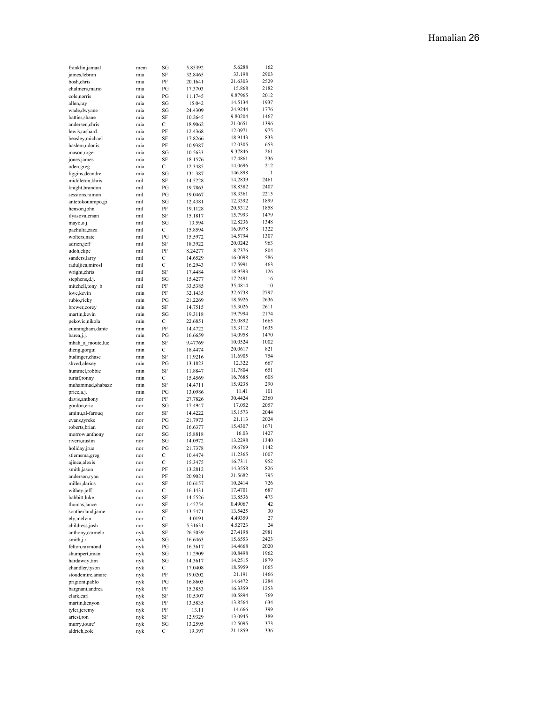| franklin, jamaal                | mem        | SG       | 5.85392            | 5.6288             | 162          |
|---------------------------------|------------|----------|--------------------|--------------------|--------------|
| james, lebron                   | mia        | SF       | 32.8465            | 33.198             | 2903         |
| bosh, chris                     | mia        | PF       | 20.1641            | 21.6303            | 2529         |
| chalmers, mario                 | mia        | PG       | 17.3703            | 15.868<br>9.87965  | 2182<br>2012 |
| cole, norris                    | mia<br>mia | PG<br>SG | 11.1745<br>15.042  | 14.5134            | 1937         |
| allen,ray<br>wade, dwyane       | mia        | SG       | 24.4309            | 24.9244            | 1776         |
| battier, shane                  | mia        | SF       | 10.2645            | 9.80204            | 1467         |
| andersen, chris                 | mia        | С        | 18.9062            | 21.0651            | 1396         |
| lewis, rashard                  | mia        | PF       | 12.4368            | 12.0971            | 975          |
| beasley, michael                | mia        | SF       | 17.8266            | 18.9143            | 833          |
| haslem,udonis                   | mia        | PF       | 10.9387            | 12.0305            | 653          |
| mason, roger                    | mia        | SG       | 10.5633            | 9.37846            | 261          |
| jones, james                    | mia        | SF       | 18.1576            | 17.4861            | 236          |
| oden, greg                      | mia        | C        | 12.3485            | 14.0696            | 212          |
| liggins, deandre                | mia        | SG       | 131.387            | 146.898            | 1            |
| middleton, khris                | mil        | SF       | 14.5228            | 14.2839            | 2461         |
| knight, brandon                 | mil        | PG       | 19.7863            | 18.8382<br>18.3361 | 2407<br>2215 |
| sessions, ramon                 | mil        | PG       | 19.0467            | 12.3392            | 1899         |
| antetokounmpo,gi                | mil<br>mil | SG<br>PF | 12.4381<br>19.1128 | 20.5312            | 1858         |
| henson, john<br>ilyasova, ersan | mil        | SF       | 15.1817            | 15.7993            | 1479         |
| mayo,o.j.                       | mil        | SG       | 13.594             | 12.8236            | 1348         |
| pachulia,zaza                   | mil        | С        | 15.8594            | 16.0978            | 1322         |
| wolters, nate                   | mil        | PG       | 15.5972            | 14.5794            | 1307         |
| adrien.jeff                     | mil        | SF       | 18.3922            | 20.0242            | 963          |
| udoh, ekpe                      | mil        | PF       | 8.24277            | 8.7376             | 804          |
| sanders, larry                  | mil        | С        | 14.6529            | 16.0098            | 586          |
| raduljica, mirosl               | mil        | C        | 16.2943            | 17.5991            | 463          |
| wright, chris                   | mil        | SF       | 17.4484            | 18.9593            | 126          |
| stephens, d.j.                  | mil        | SG       | 15.4277            | 17.2491            | 16           |
| mitchell, tony b                | mil        | PF       | 33.5385            | 35.4814            | 10           |
| love, kevin                     | min        | PF       | 32.1435            | 32.6738            | 2797         |
| rubio, ricky                    | min        | PG       | 21.2269            | 18.5926            | 2636         |
| brewer, corey                   | min        | SF       | 14.7515            | 15.3026            | 2611         |
| martin, kevin                   | min        | SG       | 19.3118            | 19.7994<br>25.0892 | 2174<br>1665 |
| pekovic,nikola                  | min        | С        | 22.6851            | 15.3112            | 1635         |
| cunningham, dante               | min<br>min | PF<br>PG | 14.4722<br>16.6659 | 14.0958            | 1470         |
| barea,j.j.<br>mbah_a_moute,luc  | min        | SF       | 9.47769            | 10.0524            | 1002         |
| dieng, gorgui                   | min        | С        | 18.4474            | 20.0617            | 821          |
| budinger, chase                 | min        | SF       | 11.9216            | 11.6905            | 754          |
| shved, alexey                   | min        | PG       | 13.1823            | 12.322             | 667          |
| hummel,robbie                   | min        | SF       | 11.8847            | 11.7804            | 651          |
| turiaf,ronny                    | min        | С        | 15.4569            | 16.7688            | 608          |
| muhammad,shabazz                | min        | SF       | 14.4711            | 15.9238            | 290          |
| price,a.j.                      | min        | PG       | 13.0986            | 11.41              | 101          |
| davis, anthony                  | nor        | PF       | 27.7826            | 30.4424            | 2360         |
| gordon, eric                    | nor        | SG       | 17.4947            | 17.052             | 2057         |
| aminu, al-farouq                | nor        | SF       | 14.4222            | 15.1573            | 2044         |
| evans, tyreke                   | nor        | PG       | 21.7973            | 21.113             | 2024         |
| roberts, brian                  | nor        | PG       | 16.6377            | 15.4307            | 1671         |
| morrow, anthony                 | nor        | SG       | 15.8818            | 16.03<br>13.2298   | 1427<br>1340 |
| rivers, austin                  | nor<br>nor | SG<br>PG | 14.0972<br>21.7378 | 19.6769            | 1142         |
| holiday,jrue<br>stiemsma, greg  | nor        | C        | 10.4474            | 11.2365            | 1007         |
| ajinca, alexis                  | noı        | С        | 15.3475            | 16.7311            | 952          |
| smith,jason                     | nor        | PF       | 13.2812            | 14.3558            | 826          |
| anderson, ryan                  | nor        | PF       | 20.9021            | 21.5682            | 795          |
| miller, darius                  | nor        | SF       | 10.6157            | 10.2414            | 726          |
| withey,jeff                     | nor        | С        | 16.1431            | 17.4701            | 687          |
| babbitt, luke                   | nor        | SF       | 14.5526            | 13.8536            | 473          |
| thomas, lance                   | nor        | SF       | 1.45754            | 0.49067            | 42           |
| southerland,jame                | nor        | SF       | 13.5471            | 13.5425            | 30           |
| ely, melvin                     | nor        | С        | 4.0191             | 4.49359            | 27           |
| childress,josh                  | nor        | SF       | 5.31631            | 4.52723            | 24           |
| anthony, carmelo                | nyk        | SF       | 26.5039            | 27.4198            | 2981         |
| smith,j.r.                      | nyk        | SG       | 16.6463            | 15.6553            | 2423         |
| felton,raymond                  | nyk        | PG       | 16.3617            | 14.4668<br>10.8498 | 2020<br>1962 |
| shumpert, iman<br>hardaway,tim  | nyk<br>nyk | SG<br>SG | 11.2909<br>14.3617 | 14.2515            | 1879         |
| chandler, tyson                 | nyk        | С        | 17.0408            | 18.5959            | 1665         |
| stoudemire, amare               | nyk        | PF       | 19.0202            | 21.191             | 1466         |
| prigioni, pablo                 | nyk        | PG       | 16.8605            | 14.6472            | 1284         |
| bargnani, andrea                | nyk        | PF       | 15.3853            | 16.3359            | 1253         |
| clark, earl                     | nyk        | SF       | 10.5307            | 10.5894            | 769          |
| martin, kenyon                  | nyk        | PF       | 13.5835            | 13.8564            | 634          |
| tyler,jeremy                    | nyk        | PF       | 13.11              | 14.666             | 399          |
| artest, ron                     | nyk        | SF       | 12.9329            | 13.0945            | 389          |
| murry, toure'                   | nyk        | SG       | 13.2595            | 12.5095            | 373          |
| aldrich, cole                   | nyk        | С        | 19.397             | 21.1859            | 336          |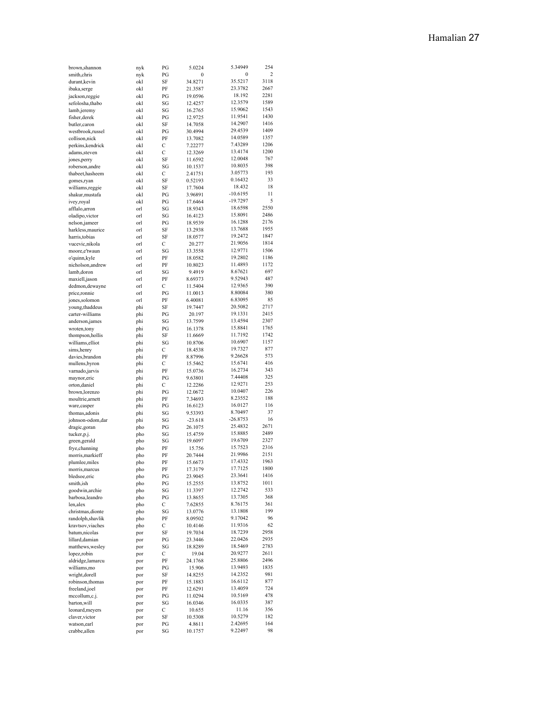| brown, shannon                      | nyk        | PG           | 5.0224             | 5.34949               | 254          |
|-------------------------------------|------------|--------------|--------------------|-----------------------|--------------|
| smith, chris                        | nyk        | PG           | 0                  | 0                     | 2            |
| durant, kevin                       | okl        | SF           | 34.8271            | 35.5217               | 3118         |
| ibaka, serge                        | okl        | PF           | 21.3587            | 23.3782<br>18.192     | 2667<br>2281 |
| jackson, reggie<br>sefolosha, thabo | okl<br>okl | PG<br>SG     | 19.0596<br>12.4257 | 12.3579               | 1589         |
| lamb,jeremy                         | okl        | SG           | 16.2765            | 15.9062               | 1543         |
| fisher, derek                       | okl        | PG           | 12.9725            | 11.9541               | 1430         |
| butler, caron                       | okl        | SF           | 14.7058            | 14.2907               | 1416         |
| westbrook,russel                    | okl        | PG           | 30.4994            | 29.4539               | 1409         |
| collison, nick                      | okl        | PF           | 13.7082            | 14.0589               | 1357         |
| perkins, kendrick                   | okl        | С            | 7.22277            | 7.43289               | 1206         |
| adams, steven                       | okl        | $\mathsf{C}$ | 12.3269            | 13.4174               | 1200         |
| jones, perry                        | okl        | SF           | 11.6592            | 12.0048               | 767          |
| roberson, andre                     | okl        | SG           | 10.1537            | 10.8035               | 398          |
| thabeet, hasheem                    | okl        | $\mathsf{C}$ | 2.41751            | 3.05773               | 193          |
| gomes, ryan                         | okl        | SF           | 0.52193            | 0.16432               | 33           |
| williams, reggie                    | okl        | SF           | 17.7604            | 18.432<br>$-10.6195$  | 18<br>11     |
| shakur, mustafa                     | okl<br>okl | PG<br>PG     | 3.96891            | $-19.7297$            | 5            |
| ivey, royal<br>afflalo, arron       | orl        | SG           | 17.6464<br>18.9343 | 18.6598               | 2550         |
| oladipo, victor                     | orl        | SG           | 16.4123            | 15.8091               | 2486         |
| nelson, jameer                      | orl        | PG           | 18.9539            | 16.1288               | 2176         |
| harkless, maurice                   | orl        | SF           | 13.2938            | 13.7688               | 1955         |
| harris, tobias                      | orl        | SF           | 18.0577            | 19.2472               | 1847         |
| vucevic, nikola                     | orl        | $\mathsf{C}$ | 20.277             | 21.9056               | 1814         |
| moore,e'twaun                       | orl        | SG           | 13.3558            | 12.9771               | 1506         |
| o'quinn, kyle                       | orl        | PF           | 18.0582            | 19.2802               | 1186         |
| nicholson, andrew                   | orl        | PF           | 10.8023            | 11.4893               | 1172         |
| lamb, doron                         | orl        | SG           | 9.4919             | 8.67621               | 697          |
| maxiell,jason                       | orl        | PF           | 8.69373            | 9.52943               | 487          |
| dedmon, dewayne                     | orl        | С            | 11.5404            | 12.9365               | 390          |
| price, ronnie                       | orl        | PG           | 11.0013            | 8.80084               | 380          |
| jones,solomon                       | orl        | PF           | 6.40081            | 6.83095               | 85           |
| young, thaddeus                     | phi        | SF           | 19.7447            | 20.5082<br>19.1331    | 2717<br>2415 |
| carter-williams<br>anderson, james  | phi        | PG<br>SG     | 20.197<br>13.7599  | 13.4594               | 2307         |
| wroten, tony                        | phi<br>phi | PG           | 16.1378            | 15.8841               | 1765         |
| thompson, hollis                    | phi        | SF           | 11.6669            | 11.7192               | 1742         |
| williams, elliot                    | phi        | SG           | 10.8706            | 10.6907               | 1157         |
| sims, henry                         | phi        | С            | 18.4538            | 19.7327               | 877          |
| davies, brandon                     | phi        | PF           | 8.87996            | 9.26628               | 573          |
| mullens, byron                      | phi        | C            | 15.5462            | 15.6741               | 416          |
| varnado, jarvis                     | phi        | PF           | 15.0736            | 16.2734               | 343          |
| maynor, eric                        | phi        | PG           | 9.63801            | 7.44408               | 325          |
| orton, daniel                       | phi        | C            | 12.2286            | 12.9271               | 253          |
| brown, lorenzo                      | phi        | PG           | 12.0672            | 10.0407               | 226          |
| moultrie, arnett                    | phi        | PF           | 7.34693            | 8.23552               | 188          |
| ware, casper                        | phi        | PG           | 16.6123            | 16.0127               | 116          |
| thomas, adonis                      | phi        | SG           | 9.53393            | 8.70497               | 37<br>16     |
| johnson-odom,dar                    | phi<br>pho | SG<br>PG     | $-23.618$          | $-26.8753$<br>25.4832 | 2671         |
| dragic, goran<br>tucker, p.j.       | pho        | SG           | 26.1075<br>15.4759 | 15.8885               | 2489         |
| green, gerald                       | pho        | SG           | 19.6097            | 19.6709               | 2327         |
| frye, channing                      | pho        | PF           | 15.756             | 15.7523               | 2316         |
| morris, markieff                    | pho        | PF           | 20.7444            | 21.9986               | 2151         |
| plumlee, miles                      | pho        | PF           | 15.6673            | 17.4332               | 1963         |
| morris, marcus                      | pho        | PF           | 17.3179            | 17.7125               | 1800         |
| bledsoe,eric                        | pho        | PG           | 23.9045            | 23.3641               | 1416         |
| smith, ish                          | pho        | PG           | 15.2555            | 13.8752               | 1011         |
| goodwin, archie                     | pho        | SG           | 11.3397            | 12.2742               | 533          |
| barbosa, leandro                    | pho        | PG           | 13.8655            | 13.7305               | 368          |
| len,alex                            | pho        | С            | 7.62855            | 8.76175               | 361          |
| christmas, dionte                   | pho        | SG           | 13.0776            | 13.1808               | 199          |
| randolph, shavlik                   | pho        | PF           | 8.09502            | 9.17042               | 96           |
| kravtsov, viaches                   | pho        | С            | 10.4146            | 11.9316<br>18.7239    | 62<br>2958   |
| batum,nicolas<br>lillard, damian    | por        | SF<br>PG     | 19.7034<br>23.3446 | 22.0426               | 2935         |
| matthews, wesley                    | por<br>por | SG           | 18.8289            | 18.5469               | 2783         |
| lopez,robin                         | por        | С            | 19.04              | 20.9277               | 2611         |
| aldridge, lamarcu                   | por        | PF           | 24.1768            | 25.8806               | 2496         |
| williams,mo                         | por        | PG           | 15.906             | 13.9493               | 1835         |
| wright, dorell                      | por        | SF           | 14.8255            | 14.2352               | 981          |
| robinson, thomas                    | por        | PF           | 15.1883            | 16.6112               | 877          |
| freeland,joel                       | por        | PF           | 12.6291            | 13.4059               | 724          |
| mccollum,c.j.                       | por        | PG           | 11.0294            | 10.5169               | 478          |
| barton, will                        | por        | SG           | 16.0346            | 16.0335               | 387          |
| leonard, meyers                     | por        | С            | 10.655             | 11.16                 | 356          |
| claver, victor                      | por        | SF           | 10.5308            | 10.5279               | 182          |
| watson, earl                        | por        | PG           | 4.8611             | 2.42695               | 164<br>98    |
| crabbe, allen                       | por        | SG           | 10.1757            | 9.22497               |              |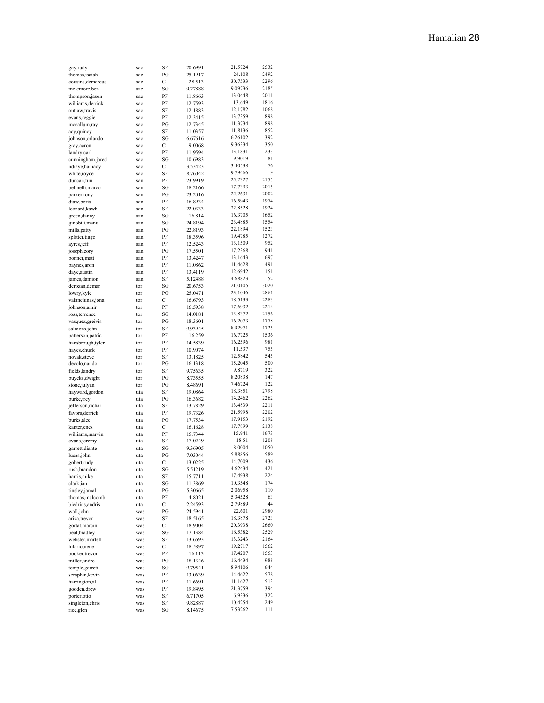| gay,rudy          | sac | SF | 20.6991 | 21.5724  | 2532 |
|-------------------|-----|----|---------|----------|------|
| thomas, isaiah    | sac | PG | 25.1917 | 24.108   | 2492 |
| cousins, demarcus | sac | С  | 28.513  | 30.7533  | 2296 |
| mclemore, ben     | sac | SG | 9.27888 | 9.09736  | 2185 |
| thompson, jason   | sac | PF | 11.8663 | 13.0448  | 2011 |
| williams, derrick | sac | PF | 12.7593 | 13.649   | 1816 |
| outlaw, travis    | sac | SF | 12.1883 | 12.1782  | 1068 |
| evans, reggie     | sac | PF | 12.3415 | 13.7359  | 898  |
| mccallum,ray      | sac | PG | 12.7345 | 11.3734  | 898  |
| acy,quincy        | sac | SF | 11.0357 | 11.8136  | 852  |
| johnson, orlando  |     | SG | 6.67616 | 6.26102  | 392  |
|                   | sac | С  | 9.0068  | 9.36334  | 350  |
| gray, aaron       | sac | PF |         | 13.1831  | 233  |
| landry,carl       | sac |    | 11.9594 |          | 81   |
| cunningham,jared  | sac | SG | 10.6983 | 9.9019   |      |
| ndiave, hamady    | sac | C  | 3.53423 | 3.40538  | 76   |
| white, royce      | sac | SF | 8.76042 | -9.79466 | 9    |
| duncan,tim        | san | PF | 23.9919 | 25.2327  | 2155 |
| belinelli, marco  | san | SG | 18.2166 | 17.7393  | 2015 |
| parker, tony      | san | PG | 23.2016 | 22.2631  | 2002 |
| diaw,boris        | san | PF | 16.8934 | 16.5943  | 1974 |
| leonard, kawhi    | san | SF | 22.0333 | 22.8528  | 1924 |
| green, danny      | san | SG | 16.814  | 16.3705  | 1652 |
| ginobili,manu     | san | SG | 24.8194 | 23.4885  | 1554 |
| mills, patty      | san | PG | 22.8193 | 22.1894  | 1523 |
| splitter, tiago   | san | PF | 18.3596 | 19.4785  | 1272 |
| ayres,jeff        | san | PF | 12.5243 | 13.1509  | 952  |
| joseph,cory       | san | PG | 17.5501 | 17.2368  | 941  |
| bonner, matt      | san | PF | 13.4247 | 13.1643  | 697  |
| baynes, aron      | san | PF | 11.0862 | 11.4628  | 491  |
| daye, austin      | san | PF | 13.4119 | 12.6942  | 151  |
|                   |     |    |         | 4.68823  | 52   |
| james, damion     | san | SF | 5.12488 | 21.0105  | 3020 |
| derozan, demar    | tor | SG | 20.6753 |          |      |
| lowry, kyle       | tor | PG | 25.0471 | 23.1046  | 2861 |
| valanciunas,jona  | tor | С  | 16.6793 | 18.5133  | 2283 |
| johnson, amir     | tor | PF | 16.5938 | 17.6932  | 2214 |
| ross, terrence    | tor | SG | 14.0181 | 13.8372  | 2156 |
| vasquez, greivis  | tor | PG | 18.3601 | 16.2073  | 1778 |
| salmons,john      | tor | SF | 9.93945 | 8.92971  | 1725 |
| patterson, patric | tor | PF | 16.259  | 16.7725  | 1536 |
| hansbrough, tyler | tor | PF | 14.5839 | 16.2596  | 981  |
| hayes, chuck      | tor | PF | 10.9074 | 11.537   | 755  |
| novak, steve      | tor | SF | 13.1825 | 12.5842  | 545  |
| decolo, nando     | tor | PG | 16.1318 | 15.2045  | 500  |
| fields, landry    | tor | SF | 9.75635 | 9.8719   | 322  |
| buycks, dwight    | tor | PG | 8.73555 | 8.20838  | 147  |
| stone, julyan     | tor | PG | 8.48691 | 7.46724  | 122  |
| hayward,gordon    | uta | SF | 19.0864 | 18.3851  | 2798 |
| burke,trey        | uta | PG | 16.3682 | 14.2462  | 2262 |
| jefferson, richar | uta | SF | 13.7829 | 13.4839  | 2211 |
| favors, derrick   | uta | PF | 19.7326 | 21.5998  | 2202 |
| burks,alec        | uta | PG | 17.7534 | 17.9153  | 2192 |
|                   |     |    |         | 17.7899  | 2138 |
| kanter, enes      | uta | С  | 16.1628 |          | 1673 |
| williams, marvin  | uta | PF | 15.7344 | 15.941   |      |
| evans,jeremy      | uta | SF | 17.0249 | 18.51    | 1208 |
| garrett, diante   | uta | SG | 9.36905 | 8.0004   | 1050 |
| lucas,john        | uta | PG | 7.03044 | 5.88856  | 589  |
| gobert, rudy      | uta | С  | 13.0225 | 14.7009  | 436  |
| rush, brandon     | uta | SG | 5.51219 | 4.62434  | 421  |
| harris, mike      | uta | SF | 15.7711 | 17.4938  | 224  |
| clark,ian         | uta | SG | 11.3869 | 10.3548  | 174  |
| tinsley,jamal     | uta | PG | 5.30665 | 2.06958  | 110  |
| thomas, malcomb   | uta | PF | 4.8021  | 5.34528  | 63   |
| biedrins, andris  | uta | С  | 2.24593 | 2.79889  | 44   |
| wall,john         | was | PG | 24.5941 | 22.601   | 2980 |
| ariza, trevor     | was | SF | 18.5165 | 18.3878  | 2723 |
| gortat, marcin    | was | С  | 18.9004 | 20.3938  | 2660 |
| beal, bradley     | was | SG | 17.1384 | 16.5382  | 2529 |
| webster, martell  | was | SF | 13.6693 | 13.3243  | 2164 |
| hilario, nene     |     | С  | 18.5897 | 19.2717  | 1562 |
|                   | was | PF |         | 17.4207  | 1553 |
| booker, trevor    | was |    | 16.113  | 16.4434  | 988  |
| miller, andre     | was | PG | 18.1346 |          | 644  |
| temple, garrett   | was | SG | 9.79541 | 8.94106  |      |
| seraphin, kevin   | was | PF | 13.0639 | 14.4622  | 578  |
| harrington,al     | was | PF | 11.6691 | 11.1627  | 513  |
| gooden, drew      | was | PF | 19.8495 | 21.3759  | 394  |
| porter, otto      | was | SF | 6.71705 | 6.9336   | 322  |
| singleton, chris  | was | SF | 9.82887 | 10.4254  | 249  |
| rice, glen        | was | SG | 8.14675 | 7.53262  | 111  |